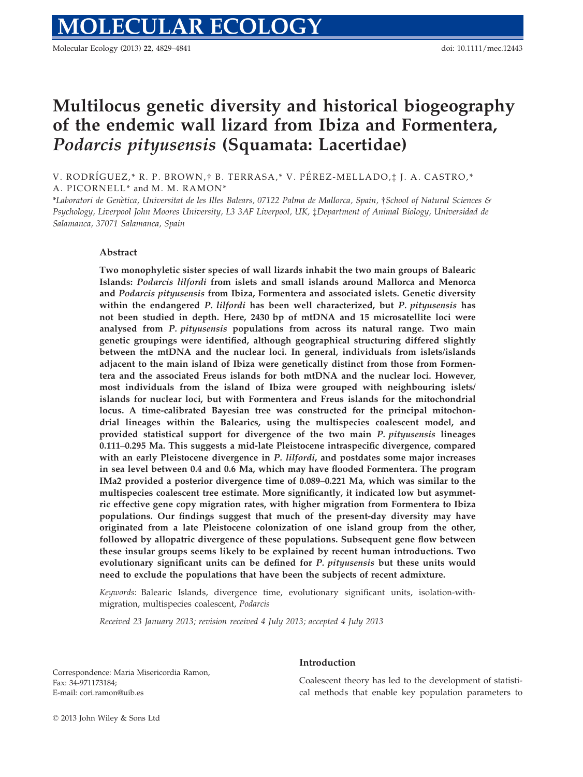# Multilocus genetic diversity and historical biogeography of the endemic wall lizard from Ibiza and Formentera, Podarcis pityusensis (Squamata: Lacertidae)

V. RODRÍGUEZ,\* R. P. BROWN,† B. TERRASA,\* V. PÉREZ-MELLADO,‡ J. A. CASTRO,\* A. PICORNELL<sup>\*</sup> and M. M. RAMON<sup>\*</sup>

\*Laboratori de Genètica, Universitat de les Illes Balears, 07122 Palma de Mallorca, Spain, †School of Natural Sciences & Psychology, Liverpool John Moores University, L3 3AF Liverpool, UK, ‡Department of Animal Biology, Universidad de

#### Abstract

Salamanca, 37071 Salamanca, Spain

Two monophyletic sister species of wall lizards inhabit the two main groups of Balearic Islands: Podarcis lilfordi from islets and small islands around Mallorca and Menorca and Podarcis pityusensis from Ibiza, Formentera and associated islets. Genetic diversity within the endangered P. lilfordi has been well characterized, but P. *pituusensis* has not been studied in depth. Here, 2430 bp of mtDNA and 15 microsatellite loci were analysed from P. pityusensis populations from across its natural range. Two main genetic groupings were identified, although geographical structuring differed slightly between the mtDNA and the nuclear loci. In general, individuals from islets/islands adjacent to the main island of Ibiza were genetically distinct from those from Formentera and the associated Freus islands for both mtDNA and the nuclear loci. However, most individuals from the island of Ibiza were grouped with neighbouring islets/ islands for nuclear loci, but with Formentera and Freus islands for the mitochondrial locus. A time-calibrated Bayesian tree was constructed for the principal mitochondrial lineages within the Balearics, using the multispecies coalescent model, and provided statistical support for divergence of the two main P. pityusensis lineages 0.111–0.295 Ma. This suggests a mid-late Pleistocene intraspecific divergence, compared with an early Pleistocene divergence in P. lilfordi, and postdates some major increases in sea level between 0.4 and 0.6 Ma, which may have flooded Formentera. The program IMa2 provided a posterior divergence time of 0.089–0.221 Ma, which was similar to the multispecies coalescent tree estimate. More significantly, it indicated low but asymmetric effective gene copy migration rates, with higher migration from Formentera to Ibiza populations. Our findings suggest that much of the present-day diversity may have originated from a late Pleistocene colonization of one island group from the other, followed by allopatric divergence of these populations. Subsequent gene flow between these insular groups seems likely to be explained by recent human introductions. Two evolutionary significant units can be defined for P. pityusensis but these units would need to exclude the populations that have been the subjects of recent admixture.

Keywords: Balearic Islands, divergence time, evolutionary significant units, isolation-withmigration, multispecies coalescent, Podarcis

Received 23 January 2013; revision received 4 July 2013; accepted 4 July 2013

Correspondence: Maria Misericordia Ramon, Fax: 34-971173184; E-mail: cori.ramon@uib.es

#### Introduction

Coalescent theory has led to the development of statistical methods that enable key population parameters to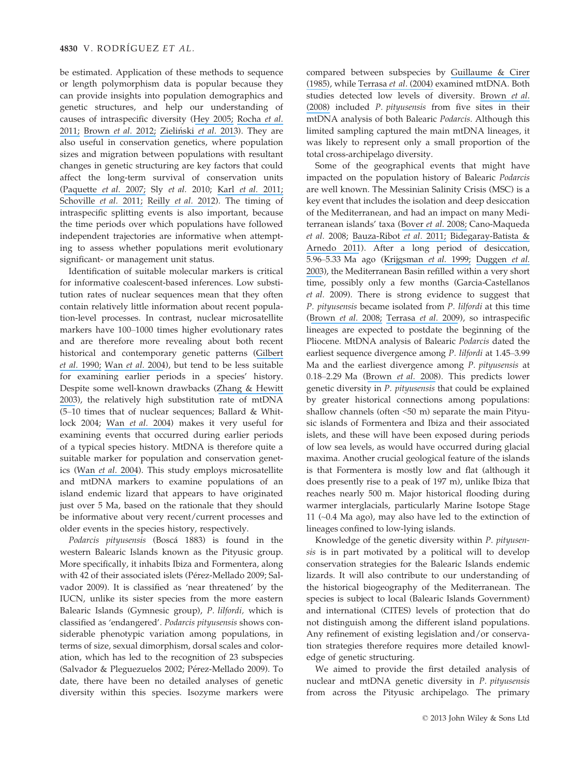be estimated. Application of these methods to sequence or length polymorphism data is popular because they can provide insights into population demographics and genetic structures, and help our understanding of causes of intraspecific diversity ([Hey 2005;](https://www.researchgate.net/publication/7842384_On_the_Number_of_New_World_Founders_A_Population_Genetic_Portrait_of_the_Peopling_of_the_Americas?el=1_x_8&enrichId=rgreq-15893e3d5ff518c30987b76258204bb4-XXX&enrichSource=Y292ZXJQYWdlOzI1NjA3MTU3OTtBUzoxMDM3ODM5NzE0MjYzMTJAMTQwMTc1NTQzNTQxNQ==) [Rocha](https://www.researchgate.net/publication/230254413_Cryptic_diversity_within_the_endemic_prehensile-tailed_gecko_Urocotyledon_inexpectata_across_the_Seychelles_Islands_Patterns_of_phylogeographical_structure_and_isolation_at_the_multilocus_level?el=1_x_8&enrichId=rgreq-15893e3d5ff518c30987b76258204bb4-XXX&enrichSource=Y292ZXJQYWdlOzI1NjA3MTU3OTtBUzoxMDM3ODM5NzE0MjYzMTJAMTQwMTc1NTQzNTQxNQ==) et al. [2011;](https://www.researchgate.net/publication/230254413_Cryptic_diversity_within_the_endemic_prehensile-tailed_gecko_Urocotyledon_inexpectata_across_the_Seychelles_Islands_Patterns_of_phylogeographical_structure_and_isolation_at_the_multilocus_level?el=1_x_8&enrichId=rgreq-15893e3d5ff518c30987b76258204bb4-XXX&enrichSource=Y292ZXJQYWdlOzI1NjA3MTU3OTtBUzoxMDM3ODM5NzE0MjYzMTJAMTQwMTc1NTQzNTQxNQ==) [Brown](https://www.researchgate.net/publication/234090763_Species_delimitation_and_digit_number_in_a_North_African_skink?el=1_x_8&enrichId=rgreq-15893e3d5ff518c30987b76258204bb4-XXX&enrichSource=Y292ZXJQYWdlOzI1NjA3MTU3OTtBUzoxMDM3ODM5NzE0MjYzMTJAMTQwMTc1NTQzNTQxNQ==) et al. 2012; Zieliński et al. 2013). They are also useful in conservation genetics, where population sizes and migration between populations with resultant changes in genetic structuring are key factors that could affect the long-term survival of conservation units ([Paquette](https://www.researchgate.net/publication/226194165_Riverbeds_demarcate_distinct_conservation_units_of_the_radiated_tortoise_Geochelone_radiata_in_southern_Madagascar?el=1_x_8&enrichId=rgreq-15893e3d5ff518c30987b76258204bb4-XXX&enrichSource=Y292ZXJQYWdlOzI1NjA3MTU3OTtBUzoxMDM3ODM5NzE0MjYzMTJAMTQwMTc1NTQzNTQxNQ==) et al. 2007; Sly et al. 2010; Karl et al. [2011;](https://www.researchgate.net/publication/226232604_Phylogeography_and_conservation_of_the_bull_shark_Carcharhinus_leucas_inferred_from_mitochondrial_and_microsatellite_DNA?el=1_x_8&enrichId=rgreq-15893e3d5ff518c30987b76258204bb4-XXX&enrichSource=Y292ZXJQYWdlOzI1NjA3MTU3OTtBUzoxMDM3ODM5NzE0MjYzMTJAMTQwMTc1NTQzNTQxNQ==) [Schoville](https://www.researchgate.net/publication/232361202_Conservation_genetics_of_evolutionary_lineages_of_the_endangered_mountain_yellow-legged_frog_Rana_muscosa_Amphibia_Ranidae_in_southern_California?el=1_x_8&enrichId=rgreq-15893e3d5ff518c30987b76258204bb4-XXX&enrichSource=Y292ZXJQYWdlOzI1NjA3MTU3OTtBUzoxMDM3ODM5NzE0MjYzMTJAMTQwMTc1NTQzNTQxNQ==) et al. 2011; [Reilly](https://www.researchgate.net/publication/232698227_Defining_evolutionary_boundaries_across_parapatric_ecomorphs_of_Black_Salamanders_Aneides_flavipunctatus_with_conservation_implications?el=1_x_8&enrichId=rgreq-15893e3d5ff518c30987b76258204bb4-XXX&enrichSource=Y292ZXJQYWdlOzI1NjA3MTU3OTtBUzoxMDM3ODM5NzE0MjYzMTJAMTQwMTc1NTQzNTQxNQ==) et al. 2012). The timing of intraspecific splitting events is also important, because the time periods over which populations have followed independent trajectories are informative when attempting to assess whether populations merit evolutionary significant- or management unit status.

Identification of suitable molecular markers is critical for informative coalescent-based inferences. Low substitution rates of nuclear sequences mean that they often contain relatively little information about recent population-level processes. In contrast, nuclear microsatellite markers have 100–1000 times higher evolutionary rates and are therefore more revealing about both recent historical and contemporary genetic patterns ([Gilbert](https://www.researchgate.net/publication/21186426_Genetic_fingerprinting_reflects_population_differentiation_in_California_Channel_Island_Fox?el=1_x_8&enrichId=rgreq-15893e3d5ff518c30987b76258204bb4-XXX&enrichSource=Y292ZXJQYWdlOzI1NjA3MTU3OTtBUzoxMDM3ODM5NzE0MjYzMTJAMTQwMTc1NTQzNTQxNQ==) et al. [1990;](https://www.researchgate.net/publication/21186426_Genetic_fingerprinting_reflects_population_differentiation_in_California_Channel_Island_Fox?el=1_x_8&enrichId=rgreq-15893e3d5ff518c30987b76258204bb4-XXX&enrichSource=Y292ZXJQYWdlOzI1NjA3MTU3OTtBUzoxMDM3ODM5NzE0MjYzMTJAMTQwMTc1NTQzNTQxNQ==) [Wan](https://www.researchgate.net/publication/8435728_Wan_QH_Wu_H_Fujihara_T_Fang_SG_Which_genetic_marker_for_which_conservation_genetics_issue_Electrophoresis?el=1_x_8&enrichId=rgreq-15893e3d5ff518c30987b76258204bb4-XXX&enrichSource=Y292ZXJQYWdlOzI1NjA3MTU3OTtBUzoxMDM3ODM5NzE0MjYzMTJAMTQwMTc1NTQzNTQxNQ==) et al. 2004), but tend to be less suitable for examining earlier periods in a species' history. Despite some well-known drawbacks ([Zhang & Hewitt](https://www.researchgate.net/publication/297953233_Nuclear_DNA_analyses_in_genetic_studies_of_populations_practice_problems_and_prospects_vol_12_pg_563_2003?el=1_x_8&enrichId=rgreq-15893e3d5ff518c30987b76258204bb4-XXX&enrichSource=Y292ZXJQYWdlOzI1NjA3MTU3OTtBUzoxMDM3ODM5NzE0MjYzMTJAMTQwMTc1NTQzNTQxNQ==) [2003](https://www.researchgate.net/publication/297953233_Nuclear_DNA_analyses_in_genetic_studies_of_populations_practice_problems_and_prospects_vol_12_pg_563_2003?el=1_x_8&enrichId=rgreq-15893e3d5ff518c30987b76258204bb4-XXX&enrichSource=Y292ZXJQYWdlOzI1NjA3MTU3OTtBUzoxMDM3ODM5NzE0MjYzMTJAMTQwMTc1NTQzNTQxNQ==)), the relatively high substitution rate of mtDNA (5–10 times that of nuclear sequences; Ballard & Whitlock 2004; Wan [et al.](https://www.researchgate.net/publication/8435728_Wan_QH_Wu_H_Fujihara_T_Fang_SG_Which_genetic_marker_for_which_conservation_genetics_issue_Electrophoresis?el=1_x_8&enrichId=rgreq-15893e3d5ff518c30987b76258204bb4-XXX&enrichSource=Y292ZXJQYWdlOzI1NjA3MTU3OTtBUzoxMDM3ODM5NzE0MjYzMTJAMTQwMTc1NTQzNTQxNQ==) 2004) makes it very useful for examining events that occurred during earlier periods of a typical species history. MtDNA is therefore quite a suitable marker for population and conservation genetics (Wan [et al.](https://www.researchgate.net/publication/8435728_Wan_QH_Wu_H_Fujihara_T_Fang_SG_Which_genetic_marker_for_which_conservation_genetics_issue_Electrophoresis?el=1_x_8&enrichId=rgreq-15893e3d5ff518c30987b76258204bb4-XXX&enrichSource=Y292ZXJQYWdlOzI1NjA3MTU3OTtBUzoxMDM3ODM5NzE0MjYzMTJAMTQwMTc1NTQzNTQxNQ==) 2004). This study employs microsatellite and mtDNA markers to examine populations of an island endemic lizard that appears to have originated just over 5 Ma, based on the rationale that they should be informative about very recent/current processes and older events in the species history, respectively.

Podarcis pityusensis (Boscá 1883) is found in the western Balearic Islands known as the Pityusic group. More specifically, it inhabits Ibiza and Formentera, along with 42 of their associated islets (Pérez-Mellado 2009; Salvador 2009). It is classified as 'near threatened' by the IUCN, unlike its sister species from the more eastern Balearic Islands (Gymnesic group), P. lilfordi, which is classified as 'endangered'. Podarcis pityusensis shows considerable phenotypic variation among populations, in terms of size, sexual dimorphism, dorsal scales and coloration, which has led to the recognition of 23 subspecies (Salvador & Pleguezuelos 2002; Pérez-Mellado 2009). To date, there have been no detailed analyses of genetic diversity within this species. Isozyme markers were

compared between subspecies by [Guillaume & Cirer](https://www.researchgate.net/publication/39088018_Comparacion_electroforetica_de_diez_poblaciones_de_Podarcis_pityusensis_Bosca_1882_Lacertidae_de_Ibiza_Formentera_e_islotes_circunvecinos?el=1_x_8&enrichId=rgreq-15893e3d5ff518c30987b76258204bb4-XXX&enrichSource=Y292ZXJQYWdlOzI1NjA3MTU3OTtBUzoxMDM3ODM5NzE0MjYzMTJAMTQwMTc1NTQzNTQxNQ==) [\(1985\)](https://www.researchgate.net/publication/39088018_Comparacion_electroforetica_de_diez_poblaciones_de_Podarcis_pityusensis_Bosca_1882_Lacertidae_de_Ibiza_Formentera_e_islotes_circunvecinos?el=1_x_8&enrichId=rgreq-15893e3d5ff518c30987b76258204bb4-XXX&enrichSource=Y292ZXJQYWdlOzI1NjA3MTU3OTtBUzoxMDM3ODM5NzE0MjYzMTJAMTQwMTc1NTQzNTQxNQ==), while [Terrasa](https://www.researchgate.net/publication/233571883_Genetic_variation_within_endemic_Podarcis_lizards_from_the_Balearic_Islands_inferred_from_partial_Cytochrome_b_sequences?el=1_x_8&enrichId=rgreq-15893e3d5ff518c30987b76258204bb4-XXX&enrichSource=Y292ZXJQYWdlOzI1NjA3MTU3OTtBUzoxMDM3ODM5NzE0MjYzMTJAMTQwMTc1NTQzNTQxNQ==) et al. (2004) examined mtDNA. Both studies detected low levels of diversity. [Brown](https://www.researchgate.net/publication/5347886_Bayesian_estimation_of_post-Messinian_divergence_times_in_Balearic_Island_lizards?el=1_x_8&enrichId=rgreq-15893e3d5ff518c30987b76258204bb4-XXX&enrichSource=Y292ZXJQYWdlOzI1NjA3MTU3OTtBUzoxMDM3ODM5NzE0MjYzMTJAMTQwMTc1NTQzNTQxNQ==) et al. [\(2008\)](https://www.researchgate.net/publication/5347886_Bayesian_estimation_of_post-Messinian_divergence_times_in_Balearic_Island_lizards?el=1_x_8&enrichId=rgreq-15893e3d5ff518c30987b76258204bb4-XXX&enrichSource=Y292ZXJQYWdlOzI1NjA3MTU3OTtBUzoxMDM3ODM5NzE0MjYzMTJAMTQwMTc1NTQzNTQxNQ==) included P. pityusensis from five sites in their mtDNA analysis of both Balearic Podarcis. Although this limited sampling captured the main mtDNA lineages, it was likely to represent only a small proportion of the total cross-archipelago diversity.

Some of the geographical events that might have impacted on the population history of Balearic Podarcis are well known. The Messinian Salinity Crisis (MSC) is a key event that includes the isolation and deep desiccation of the Mediterranean, and had an impact on many Mediterranean islands' taxa ([Bover](https://www.researchgate.net/publication/223058389_Three_islands_three_worlds_Paleogeography_and_evolution_of_the_vertebrate_fauna_from_the_Balearic_Islands?el=1_x_8&enrichId=rgreq-15893e3d5ff518c30987b76258204bb4-XXX&enrichSource=Y292ZXJQYWdlOzI1NjA3MTU3OTtBUzoxMDM3ODM5NzE0MjYzMTJAMTQwMTc1NTQzNTQxNQ==) et al. 2008; Cano-Maqueda et al. 2008; [Bauza-Ribot](https://www.researchgate.net/publication/51522853_Islands_beneath_islands_Phylogeography_of_a_groundwater_amphipod_crustacean_in_the_Balearic_archipelago?el=1_x_8&enrichId=rgreq-15893e3d5ff518c30987b76258204bb4-XXX&enrichSource=Y292ZXJQYWdlOzI1NjA3MTU3OTtBUzoxMDM3ODM5NzE0MjYzMTJAMTQwMTc1NTQzNTQxNQ==) et al. 2011; [Bidegaray-Batista &](https://www.researchgate.net/publication/51757201_Gone_with_the_plate_The_opening_of_the_Western_Mediterranean_basin_drove_the_diversification_of_ground-dweller_spiders?el=1_x_8&enrichId=rgreq-15893e3d5ff518c30987b76258204bb4-XXX&enrichSource=Y292ZXJQYWdlOzI1NjA3MTU3OTtBUzoxMDM3ODM5NzE0MjYzMTJAMTQwMTc1NTQzNTQxNQ==) [Arnedo 2011](https://www.researchgate.net/publication/51757201_Gone_with_the_plate_The_opening_of_the_Western_Mediterranean_basin_drove_the_diversification_of_ground-dweller_spiders?el=1_x_8&enrichId=rgreq-15893e3d5ff518c30987b76258204bb4-XXX&enrichSource=Y292ZXJQYWdlOzI1NjA3MTU3OTtBUzoxMDM3ODM5NzE0MjYzMTJAMTQwMTc1NTQzNTQxNQ==)). After a long period of desiccation, 5.96–5.33 Ma ago ([Krijgsman](https://www.researchgate.net/publication/251642135_Chronology_causes_and_progression_of_the_Messinian_Salinity_Crisis?el=1_x_8&enrichId=rgreq-15893e3d5ff518c30987b76258204bb4-XXX&enrichSource=Y292ZXJQYWdlOzI1NjA3MTU3OTtBUzoxMDM3ODM5NzE0MjYzMTJAMTQwMTc1NTQzNTQxNQ==) et al. 1999; [Duggen](https://www.researchgate.net/publication/10812315_Deep_roots_of_the_Messinian_Salinity_Crisis?el=1_x_8&enrichId=rgreq-15893e3d5ff518c30987b76258204bb4-XXX&enrichSource=Y292ZXJQYWdlOzI1NjA3MTU3OTtBUzoxMDM3ODM5NzE0MjYzMTJAMTQwMTc1NTQzNTQxNQ==) et al. [2003](https://www.researchgate.net/publication/10812315_Deep_roots_of_the_Messinian_Salinity_Crisis?el=1_x_8&enrichId=rgreq-15893e3d5ff518c30987b76258204bb4-XXX&enrichSource=Y292ZXJQYWdlOzI1NjA3MTU3OTtBUzoxMDM3ODM5NzE0MjYzMTJAMTQwMTc1NTQzNTQxNQ==)), the Mediterranean Basin refilled within a very short time, possibly only a few months (Garcia-Castellanos et al. 2009). There is strong evidence to suggest that P. pityusensis became isolated from P. lilfordi at this time ([Brown](https://www.researchgate.net/publication/5347886_Bayesian_estimation_of_post-Messinian_divergence_times_in_Balearic_Island_lizards?el=1_x_8&enrichId=rgreq-15893e3d5ff518c30987b76258204bb4-XXX&enrichSource=Y292ZXJQYWdlOzI1NjA3MTU3OTtBUzoxMDM3ODM5NzE0MjYzMTJAMTQwMTc1NTQzNTQxNQ==) et al. 2008; [Terrasa](https://www.researchgate.net/publication/227499304_Foundations_for_conservation_of_intraspecific_genetic_diversity_revealed_by_analysis_of_phylogeographical_structure_in_the_endangered_endemic_lizard_Podarcis_lilfordi?el=1_x_8&enrichId=rgreq-15893e3d5ff518c30987b76258204bb4-XXX&enrichSource=Y292ZXJQYWdlOzI1NjA3MTU3OTtBUzoxMDM3ODM5NzE0MjYzMTJAMTQwMTc1NTQzNTQxNQ==) et al. 2009), so intraspecific lineages are expected to postdate the beginning of the Pliocene. MtDNA analysis of Balearic Podarcis dated the earliest sequence divergence among P. lilfordi at 1.45–3.99 Ma and the earliest divergence among P. pityusensis at 0.18–2.29 Ma ([Brown](https://www.researchgate.net/publication/5347886_Bayesian_estimation_of_post-Messinian_divergence_times_in_Balearic_Island_lizards?el=1_x_8&enrichId=rgreq-15893e3d5ff518c30987b76258204bb4-XXX&enrichSource=Y292ZXJQYWdlOzI1NjA3MTU3OTtBUzoxMDM3ODM5NzE0MjYzMTJAMTQwMTc1NTQzNTQxNQ==) et al. 2008). This predicts lower genetic diversity in P. pityusensis that could be explained by greater historical connections among populations: shallow channels (often <50 m) separate the main Pityusic islands of Formentera and Ibiza and their associated islets, and these will have been exposed during periods of low sea levels, as would have occurred during glacial maxima. Another crucial geological feature of the islands is that Formentera is mostly low and flat (although it does presently rise to a peak of 197 m), unlike Ibiza that reaches nearly 500 m. Major historical flooding during warmer interglacials, particularly Marine Isotope Stage 11 (~0.4 Ma ago), may also have led to the extinction of lineages confined to low-lying islands.

Knowledge of the genetic diversity within P. pityusensis is in part motivated by a political will to develop conservation strategies for the Balearic Islands endemic lizards. It will also contribute to our understanding of the historical biogeography of the Mediterranean. The species is subject to local (Balearic Islands Government) and international (CITES) levels of protection that do not distinguish among the different island populations. Any refinement of existing legislation and/or conservation strategies therefore requires more detailed knowledge of genetic structuring.

We aimed to provide the first detailed analysis of nuclear and mtDNA genetic diversity in P. pityusensis from across the Pityusic archipelago. The primary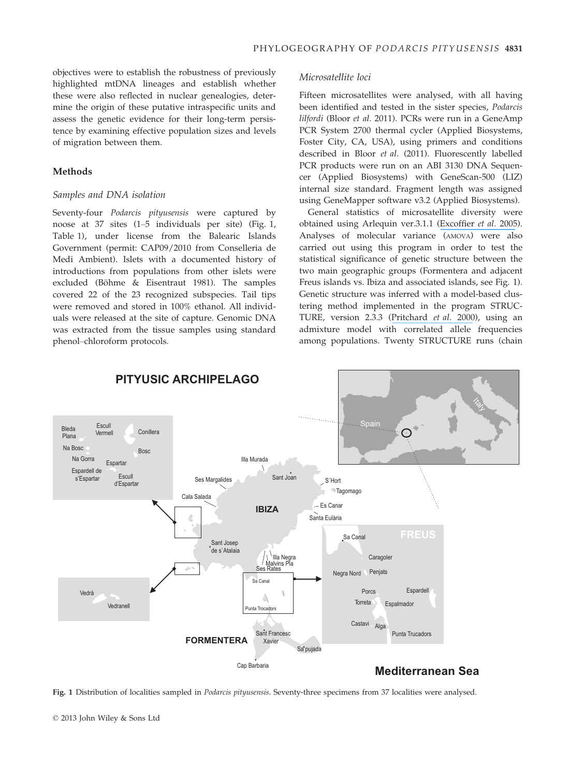objectives were to establish the robustness of previously highlighted mtDNA lineages and establish whether these were also reflected in nuclear genealogies, determine the origin of these putative intraspecific units and assess the genetic evidence for their long-term persistence by examining effective population sizes and levels of migration between them.

## Methods

## Samples and DNA isolation

Seventy-four Podarcis pityusensis were captured by noose at 37 sites (1–5 individuals per site) (Fig. 1, Table 1), under license from the Balearic Islands Government (permit: CAP09/2010 from Conselleria de Medi Ambient). Islets with a documented history of introductions from populations from other islets were excluded (Böhme & Eisentraut 1981). The samples covered 22 of the 23 recognized subspecies. Tail tips were removed and stored in 100% ethanol. All individuals were released at the site of capture. Genomic DNA was extracted from the tissue samples using standard phenol–chloroform protocols.

# Microsatellite loci

Fifteen microsatellites were analysed, with all having been identified and tested in the sister species, Podarcis lilfordi (Bloor et al. 2011). PCRs were run in a GeneAmp PCR System 2700 thermal cycler (Applied Biosystems, Foster City, CA, USA), using primers and conditions described in Bloor et al. (2011). Fluorescently labelled PCR products were run on an ABI 3130 DNA Sequencer (Applied Biosystems) with GeneScan-500 (LIZ) internal size standard. Fragment length was assigned using GeneMapper software v3.2 (Applied Biosystems).

General statistics of microsatellite diversity were obtained using Arlequin ver.3.1.1 ([Excoffier](https://www.researchgate.net/publication/240434148_ARLEQUIN_ver_30_an_integrated_software_package_for_population_genetics_data_analysis?el=1_x_8&enrichId=rgreq-15893e3d5ff518c30987b76258204bb4-XXX&enrichSource=Y292ZXJQYWdlOzI1NjA3MTU3OTtBUzoxMDM3ODM5NzE0MjYzMTJAMTQwMTc1NTQzNTQxNQ==) et al. 2005). Analyses of molecular variance (AMOVA) were also carried out using this program in order to test the statistical significance of genetic structure between the two main geographic groups (Formentera and adjacent Freus islands vs. Ibiza and associated islands, see Fig. 1). Genetic structure was inferred with a model-based clustering method implemented in the program STRUC-TURE, version 2.3.3 ([Pritchard](https://www.researchgate.net/publication/12483622_Inference_of_Population_Structure_Using_Multilocus_Genotype_Data?el=1_x_8&enrichId=rgreq-15893e3d5ff518c30987b76258204bb4-XXX&enrichSource=Y292ZXJQYWdlOzI1NjA3MTU3OTtBUzoxMDM3ODM5NzE0MjYzMTJAMTQwMTc1NTQzNTQxNQ==) et al. 2000), using an admixture model with correlated allele frequencies among populations. Twenty STRUCTURE runs (chain



Fig. 1 Distribution of localities sampled in *Podarcis pityusensis*. Seventy-three specimens from 37 localities were analysed.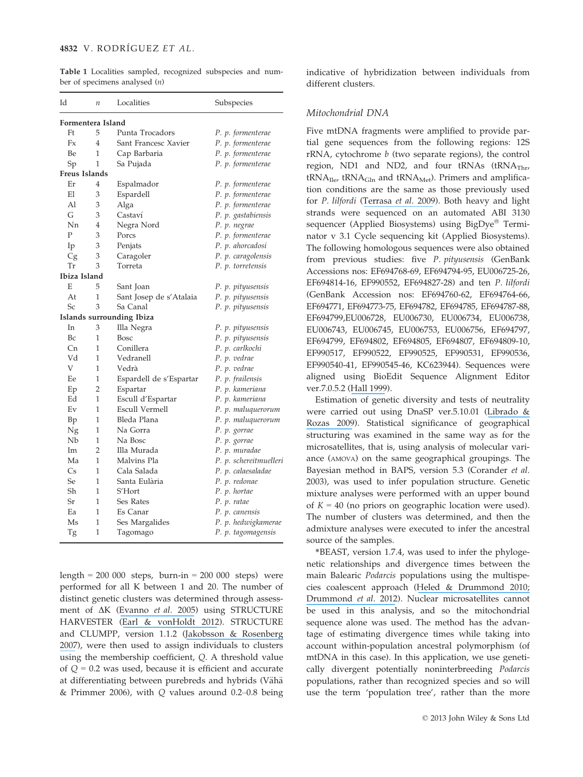Table 1 Localities sampled, recognized subspecies and number of specimens analysed (n)

| Id                | $\boldsymbol{n}$ | Localities                | Subspecies             |
|-------------------|------------------|---------------------------|------------------------|
| Formentera Island |                  |                           |                        |
| Ft                | 5                | Punta Trocadors           | P. p. formenterae      |
| Fx                | $\overline{4}$   | Sant Francesc Xavier      | P. p. formenterae      |
| <b>Be</b>         | 1                | Cap Barbaria              | P. p. formenterae      |
| Sp                | 1                | Sa Pujada                 | P. p. formenterae      |
| Freus Islands     |                  |                           |                        |
| Er                | 4                | Espalmador                | P. p. formenterae      |
| El                | 3                | Espardell                 | P. p. formenterae      |
| A1                | 3                | Alga                      | P. p. formenterae      |
| G                 | 3                | Castaví                   | P. p. gastabiensis     |
| Nn                | 4                | Negra Nord                | P. p. negrae           |
| $\mathbf{P}$      | 3                | Porcs                     | P. p. formenterae      |
| Ip                | 3                | Penjats                   | P. p. ahorcadosi       |
| Сg                | 3                | Caragoler                 | P. p. caragolensis     |
| Тr                | 3                | Torreta                   | P. p. torretensis      |
| Ibiza Island      |                  |                           |                        |
| E                 | 5                | Sant Joan                 | P. p. pityusensis      |
| At                | 1                | Sant Josep de s'Atalaia   | P. p. pityusensis      |
| $S_{C}$           | 3                | Sa Canal                  | P. p. pityusensis      |
|                   |                  | Islands surrounding Ibiza |                        |
| In                | 3                | Illa Negra                | P. p. pityusensis      |
| Bc                | 1                | <b>Bosc</b>               | P. p. pityusensis      |
| Cn                | 1                | Conillera                 | P. p. carlkochi        |
| Vd                | 1                | Vedranell                 | P. p. vedrae           |
| V                 | 1                | Vedrà                     | P. p. vedrae           |
| Ee                | 1                | Espardell de s'Espartar   | P. p. frailensis       |
| Ep                | $\overline{2}$   | Espartar                  | P. p. kameriana        |
| Ed                | 1                | Escull d'Espartar         | P. p. kameriana        |
| Ev                | 1                | <b>Escull Vermell</b>     | P. p. maluquerorum     |
| Bp                | 1                | Bleda Plana               | P. p. maluquerorum     |
| Ng                | 1                | Na Gorra                  | P. p. gorrae           |
| Nb                | 1                | Na Bosc                   | P. p. gorrae           |
| Im                | $\overline{2}$   | Illa Murada               | P. p. muradae          |
| Ma                | 1                | Malvins Pla               | P. p. schereitmuelleri |
| Cs                | 1                | Cala Salada               | P. p. calaesaladae     |
| Se                | 1                | Santa Eulària             | P. p. redonae          |
| Sh                | $\mathbf{1}$     | S'Hort                    | P. p. hortae           |
| Sr                | 1                | Ses Rates                 | P. p. ratae            |
| Ea                | 1                | Es Canar                  | P. p. canensis         |
| Ms                | 1                | Ses Margalides            | P. p. hedwigkamerae    |
| Tg                | 1                | Tagomago                  | P. p. tagomagensis     |

length =  $200000$  steps, burn-in =  $200000$  steps) were performed for all K between 1 and 20. The number of distinct genetic clusters was determined through assessment of  $\Delta K$  ([Evanno](https://www.researchgate.net/publication/7773162_Detecting_the_number_of_clusters_of_individuals_using_the_software_STRUCTURE_A_simulation_study?el=1_x_8&enrichId=rgreq-15893e3d5ff518c30987b76258204bb4-XXX&enrichSource=Y292ZXJQYWdlOzI1NjA3MTU3OTtBUzoxMDM3ODM5NzE0MjYzMTJAMTQwMTc1NTQzNTQxNQ==) et al. 2005) using STRUCTURE HARVESTER ([Earl & vonHoldt 2012](https://www.researchgate.net/publication/287104091_Structure_Harvester_a_website_and_program_for_visualizing_STRUCTURE_output_and_implementing_the_Evanno_method?el=1_x_8&enrichId=rgreq-15893e3d5ff518c30987b76258204bb4-XXX&enrichSource=Y292ZXJQYWdlOzI1NjA3MTU3OTtBUzoxMDM3ODM5NzE0MjYzMTJAMTQwMTc1NTQzNTQxNQ==)). STRUCTURE and CLUMPP, version 1.1.2 ([Jakobsson & Rosenberg](https://www.researchgate.net/publication/6346845_CLUMPP_A_Cluster_Matching_and_Permutation_Program_for_Dealing_with_Label_Switching_and_Multimodality_in_Analysis_of_Population_Structure?el=1_x_8&enrichId=rgreq-15893e3d5ff518c30987b76258204bb4-XXX&enrichSource=Y292ZXJQYWdlOzI1NjA3MTU3OTtBUzoxMDM3ODM5NzE0MjYzMTJAMTQwMTc1NTQzNTQxNQ==) [2007](https://www.researchgate.net/publication/6346845_CLUMPP_A_Cluster_Matching_and_Permutation_Program_for_Dealing_with_Label_Switching_and_Multimodality_in_Analysis_of_Population_Structure?el=1_x_8&enrichId=rgreq-15893e3d5ff518c30987b76258204bb4-XXX&enrichSource=Y292ZXJQYWdlOzI1NjA3MTU3OTtBUzoxMDM3ODM5NzE0MjYzMTJAMTQwMTc1NTQzNTQxNQ==)), were then used to assign individuals to clusters using the membership coefficient, Q. A threshold value of  $Q = 0.2$  was used, because it is efficient and accurate at differentiating between purebreds and hybrids (Vähä & Primmer 2006), with Q values around 0.2–0.8 being indicative of hybridization between individuals from different clusters.

### Mitochondrial DNA

Five mtDNA fragments were amplified to provide partial gene sequences from the following regions: 12S rRNA, cytochrome b (two separate regions), the control region, ND1 and ND2, and four  $tRNAs$  ( $tRNA<sub>Thr</sub>$ )  $tRNA<sub>I</sub>$ <sub>Ile</sub>,  $tRNA<sub>G</sub>$ <sub>ln</sub> and  $tRNA<sub>Met</sub>$ ). Primers and amplification conditions are the same as those previously used for P. lilfordi ([Terrasa](https://www.researchgate.net/publication/227499304_Foundations_for_conservation_of_intraspecific_genetic_diversity_revealed_by_analysis_of_phylogeographical_structure_in_the_endangered_endemic_lizard_Podarcis_lilfordi?el=1_x_8&enrichId=rgreq-15893e3d5ff518c30987b76258204bb4-XXX&enrichSource=Y292ZXJQYWdlOzI1NjA3MTU3OTtBUzoxMDM3ODM5NzE0MjYzMTJAMTQwMTc1NTQzNTQxNQ==) et al. 2009). Both heavy and light strands were sequenced on an automated ABI 3130 sequencer (Applied Biosystems) using BigDye® Terminator v 3.1 Cycle sequencing kit (Applied Biosystems). The following homologous sequences were also obtained from previous studies: five P. pityusensis (GenBank Accessions nos: EF694768-69, EF694794-95, EU006725-26, EF694814-16, EF990552, EF694827-28) and ten P. lilfordi (GenBank Accession nos: EF694760-62, EF694764-66, EF694771, EF694773-75, EF694782, EF694785, EF694787-88, EF694799,EU006728, EU006730, EU006734, EU006738, EU006743, EU006745, EU006753, EU006756, EF694797, EF694799, EF694802, EF694805, EF694807, EF694809-10, EF990517, EF990522, EF990525, EF990531, EF990536, EF990540-41, EF990545-46, KC623944). Sequences were aligned using BioEdit Sequence Alignment Editor ver.7.0.5.2 ([Hall 1999](https://www.researchgate.net/publication/245131953_BIOEDIT_a_user-friendly_biological_sequence_alignment_editor_and_analysis_program_for_Windows_9598NT?el=1_x_8&enrichId=rgreq-15893e3d5ff518c30987b76258204bb4-XXX&enrichSource=Y292ZXJQYWdlOzI1NjA3MTU3OTtBUzoxMDM3ODM5NzE0MjYzMTJAMTQwMTc1NTQzNTQxNQ==)).

Estimation of genetic diversity and tests of neutrality were carried out using DnaSP ver.5.10.01 ([Librado &](https://www.researchgate.net/publication/24257674_DnaSP_v5_A_Software_for_Comprehensive_Analysis_of_DNA_Polymorphism_Data?el=1_x_8&enrichId=rgreq-15893e3d5ff518c30987b76258204bb4-XXX&enrichSource=Y292ZXJQYWdlOzI1NjA3MTU3OTtBUzoxMDM3ODM5NzE0MjYzMTJAMTQwMTc1NTQzNTQxNQ==) [Rozas 2009](https://www.researchgate.net/publication/24257674_DnaSP_v5_A_Software_for_Comprehensive_Analysis_of_DNA_Polymorphism_Data?el=1_x_8&enrichId=rgreq-15893e3d5ff518c30987b76258204bb4-XXX&enrichSource=Y292ZXJQYWdlOzI1NjA3MTU3OTtBUzoxMDM3ODM5NzE0MjYzMTJAMTQwMTc1NTQzNTQxNQ==)). Statistical significance of geographical structuring was examined in the same way as for the microsatellites, that is, using analysis of molecular variance (AMOVA) on the same geographical groupings. The Bayesian method in BAPS, version 5.3 (Corander et al. 2003), was used to infer population structure. Genetic mixture analyses were performed with an upper bound of  $K = 40$  (no priors on geographic location were used). The number of clusters was determined, and then the admixture analyses were executed to infer the ancestral source of the samples.

\*BEAST, version 1.7.4, was used to infer the phylogenetic relationships and divergence times between the main Balearic Podarcis populations using the multispecies coalescent approach ([Heled & Drummond 2010;](https://www.researchgate.net/publication/38083310_Bayesian_Inference_of_Species_Trees_from_Multilocus_Data?el=1_x_8&enrichId=rgreq-15893e3d5ff518c30987b76258204bb4-XXX&enrichSource=Y292ZXJQYWdlOzI1NjA3MTU3OTtBUzoxMDM3ODM5NzE0MjYzMTJAMTQwMTc1NTQzNTQxNQ==) [Drummond](https://www.researchgate.net/publication/287175731_Bayesian_phylogenetics_with_BEAUti_and_the_BEAST_17?el=1_x_8&enrichId=rgreq-15893e3d5ff518c30987b76258204bb4-XXX&enrichSource=Y292ZXJQYWdlOzI1NjA3MTU3OTtBUzoxMDM3ODM5NzE0MjYzMTJAMTQwMTc1NTQzNTQxNQ==) et al. 2012). Nuclear microsatellites cannot be used in this analysis, and so the mitochondrial sequence alone was used. The method has the advantage of estimating divergence times while taking into account within-population ancestral polymorphism (of mtDNA in this case). In this application, we use genetically divergent potentially noninterbreeding Podarcis populations, rather than recognized species and so will use the term 'population tree', rather than the more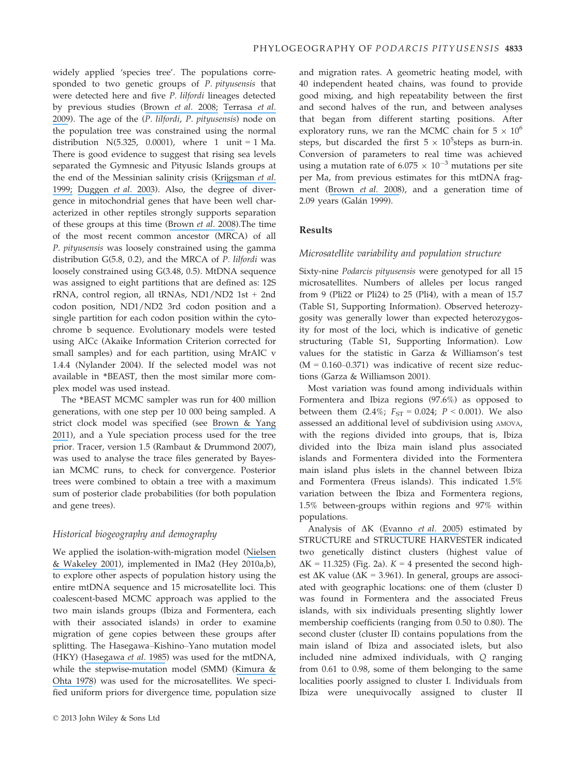widely applied 'species tree'. The populations corresponded to two genetic groups of P. pityusensis that were detected here and five P. lilfordi lineages detected by previous studies ([Brown](https://www.researchgate.net/publication/5347886_Bayesian_estimation_of_post-Messinian_divergence_times_in_Balearic_Island_lizards?el=1_x_8&enrichId=rgreq-15893e3d5ff518c30987b76258204bb4-XXX&enrichSource=Y292ZXJQYWdlOzI1NjA3MTU3OTtBUzoxMDM3ODM5NzE0MjYzMTJAMTQwMTc1NTQzNTQxNQ==) et al. 2008; [Terrasa](https://www.researchgate.net/publication/227499304_Foundations_for_conservation_of_intraspecific_genetic_diversity_revealed_by_analysis_of_phylogeographical_structure_in_the_endangered_endemic_lizard_Podarcis_lilfordi?el=1_x_8&enrichId=rgreq-15893e3d5ff518c30987b76258204bb4-XXX&enrichSource=Y292ZXJQYWdlOzI1NjA3MTU3OTtBUzoxMDM3ODM5NzE0MjYzMTJAMTQwMTc1NTQzNTQxNQ==) et al. [2009](https://www.researchgate.net/publication/227499304_Foundations_for_conservation_of_intraspecific_genetic_diversity_revealed_by_analysis_of_phylogeographical_structure_in_the_endangered_endemic_lizard_Podarcis_lilfordi?el=1_x_8&enrichId=rgreq-15893e3d5ff518c30987b76258204bb4-XXX&enrichSource=Y292ZXJQYWdlOzI1NjA3MTU3OTtBUzoxMDM3ODM5NzE0MjYzMTJAMTQwMTc1NTQzNTQxNQ==)). The age of the (P. lilfordi, P. pityusensis) node on the population tree was constrained using the normal distribution N(5.325, 0.0001), where 1 unit = 1 Ma. There is good evidence to suggest that rising sea levels separated the Gymnesic and Pityusic Islands groups at the end of the Messinian salinity crisis ([Krijgsman](https://www.researchgate.net/publication/251642135_Chronology_causes_and_progression_of_the_Messinian_Salinity_Crisis?el=1_x_8&enrichId=rgreq-15893e3d5ff518c30987b76258204bb4-XXX&enrichSource=Y292ZXJQYWdlOzI1NjA3MTU3OTtBUzoxMDM3ODM5NzE0MjYzMTJAMTQwMTc1NTQzNTQxNQ==) et al. [1999;](https://www.researchgate.net/publication/251642135_Chronology_causes_and_progression_of_the_Messinian_Salinity_Crisis?el=1_x_8&enrichId=rgreq-15893e3d5ff518c30987b76258204bb4-XXX&enrichSource=Y292ZXJQYWdlOzI1NjA3MTU3OTtBUzoxMDM3ODM5NzE0MjYzMTJAMTQwMTc1NTQzNTQxNQ==) [Duggen](https://www.researchgate.net/publication/10812315_Deep_roots_of_the_Messinian_Salinity_Crisis?el=1_x_8&enrichId=rgreq-15893e3d5ff518c30987b76258204bb4-XXX&enrichSource=Y292ZXJQYWdlOzI1NjA3MTU3OTtBUzoxMDM3ODM5NzE0MjYzMTJAMTQwMTc1NTQzNTQxNQ==) et al. 2003). Also, the degree of divergence in mitochondrial genes that have been well characterized in other reptiles strongly supports separation of these groups at this time ([Brown](https://www.researchgate.net/publication/5347886_Bayesian_estimation_of_post-Messinian_divergence_times_in_Balearic_Island_lizards?el=1_x_8&enrichId=rgreq-15893e3d5ff518c30987b76258204bb4-XXX&enrichSource=Y292ZXJQYWdlOzI1NjA3MTU3OTtBUzoxMDM3ODM5NzE0MjYzMTJAMTQwMTc1NTQzNTQxNQ==) et al. 2008).The time of the most recent common ancestor (MRCA) of all P. pityusensis was loosely constrained using the gamma distribution G(5.8, 0.2), and the MRCA of P. lilfordi was loosely constrained using G(3.48, 0.5). MtDNA sequence was assigned to eight partitions that are defined as: 12S rRNA, control region, all tRNAs, ND1/ND2 1st + 2nd codon position, ND1/ND2 3rd codon position and a single partition for each codon position within the cytochrome b sequence. Evolutionary models were tested using AICc (Akaike Information Criterion corrected for small samples) and for each partition, using MrAIC v 1.4.4 (Nylander 2004). If the selected model was not available in \*BEAST, then the most similar more complex model was used instead.

The \*BEAST MCMC sampler was run for 400 million generations, with one step per 10 000 being sampled. A strict clock model was specified (see [Brown & Yang](https://www.researchgate.net/publication/51670217_Rate_variation_and_estimation_of_divergence_times_using_strict_and_relaxed_clocks?el=1_x_8&enrichId=rgreq-15893e3d5ff518c30987b76258204bb4-XXX&enrichSource=Y292ZXJQYWdlOzI1NjA3MTU3OTtBUzoxMDM3ODM5NzE0MjYzMTJAMTQwMTc1NTQzNTQxNQ==) [2011](https://www.researchgate.net/publication/51670217_Rate_variation_and_estimation_of_divergence_times_using_strict_and_relaxed_clocks?el=1_x_8&enrichId=rgreq-15893e3d5ff518c30987b76258204bb4-XXX&enrichSource=Y292ZXJQYWdlOzI1NjA3MTU3OTtBUzoxMDM3ODM5NzE0MjYzMTJAMTQwMTc1NTQzNTQxNQ==)), and a Yule speciation process used for the tree prior. Tracer, version 1.5 (Rambaut & Drummond 2007), was used to analyse the trace files generated by Bayesian MCMC runs, to check for convergence. Posterior trees were combined to obtain a tree with a maximum sum of posterior clade probabilities (for both population and gene trees).

# Historical biogeography and demography

We applied the isolation-with-migration model ([Nielsen](https://www.researchgate.net/publication/11936084_Distinguishing_Migration_From_Isolation_A_Markov_Chain_Monte_Carlo_Approach?el=1_x_8&enrichId=rgreq-15893e3d5ff518c30987b76258204bb4-XXX&enrichSource=Y292ZXJQYWdlOzI1NjA3MTU3OTtBUzoxMDM3ODM5NzE0MjYzMTJAMTQwMTc1NTQzNTQxNQ==) [& Wakeley 2001](https://www.researchgate.net/publication/11936084_Distinguishing_Migration_From_Isolation_A_Markov_Chain_Monte_Carlo_Approach?el=1_x_8&enrichId=rgreq-15893e3d5ff518c30987b76258204bb4-XXX&enrichSource=Y292ZXJQYWdlOzI1NjA3MTU3OTtBUzoxMDM3ODM5NzE0MjYzMTJAMTQwMTc1NTQzNTQxNQ==)), implemented in IMa2 (Hey 2010a,b), to explore other aspects of population history using the entire mtDNA sequence and 15 microsatellite loci. This coalescent-based MCMC approach was applied to the two main islands groups (Ibiza and Formentera, each with their associated islands) in order to examine migration of gene copies between these groups after splitting. The Hasegawa–Kishino–Yano mutation model (HKY) ([Hasegawa](https://www.researchgate.net/publication/225844777_Dating_of_the_Human-Ape_Splitting_by_a_Molecular_Clock_of_Mitochondrial_DNA?el=1_x_8&enrichId=rgreq-15893e3d5ff518c30987b76258204bb4-XXX&enrichSource=Y292ZXJQYWdlOzI1NjA3MTU3OTtBUzoxMDM3ODM5NzE0MjYzMTJAMTQwMTc1NTQzNTQxNQ==) et al. 1985) was used for the mtDNA, while the stepwise-mutation model (SMM) ([Kimura &](https://www.researchgate.net/publication/22861363_Kimura_M_Otha_T_Stepwise_mutation_model_and_distribution_of_allelic_frequencies_in_a_finite_population_Proc_Natl_Acad_Sci_USA_75_2868-2872?el=1_x_8&enrichId=rgreq-15893e3d5ff518c30987b76258204bb4-XXX&enrichSource=Y292ZXJQYWdlOzI1NjA3MTU3OTtBUzoxMDM3ODM5NzE0MjYzMTJAMTQwMTc1NTQzNTQxNQ==) [Ohta 1978](https://www.researchgate.net/publication/22861363_Kimura_M_Otha_T_Stepwise_mutation_model_and_distribution_of_allelic_frequencies_in_a_finite_population_Proc_Natl_Acad_Sci_USA_75_2868-2872?el=1_x_8&enrichId=rgreq-15893e3d5ff518c30987b76258204bb4-XXX&enrichSource=Y292ZXJQYWdlOzI1NjA3MTU3OTtBUzoxMDM3ODM5NzE0MjYzMTJAMTQwMTc1NTQzNTQxNQ==)) was used for the microsatellites. We specified uniform priors for divergence time, population size and migration rates. A geometric heating model, with 40 independent heated chains, was found to provide good mixing, and high repeatability between the first and second halves of the run, and between analyses that began from different starting positions. After exploratory runs, we ran the MCMC chain for  $5 \times 10^6$ steps, but discarded the first  $5 \times 10^5$ steps as burn-in. Conversion of parameters to real time was achieved using a mutation rate of  $6.075 \times 10^{-3}$  mutations per site per Ma, from previous estimates for this mtDNA fragment ([Brown](https://www.researchgate.net/publication/5347886_Bayesian_estimation_of_post-Messinian_divergence_times_in_Balearic_Island_lizards?el=1_x_8&enrichId=rgreq-15893e3d5ff518c30987b76258204bb4-XXX&enrichSource=Y292ZXJQYWdlOzI1NjA3MTU3OTtBUzoxMDM3ODM5NzE0MjYzMTJAMTQwMTc1NTQzNTQxNQ==) et al. 2008), and a generation time of 2.09 years (Galán 1999).

# Results

## Microsatellite variability and population structure

Sixty-nine Podarcis pityusensis were genotyped for all 15 microsatellites. Numbers of alleles per locus ranged from 9 (Pli22 or Pli24) to 25 (Pli4), with a mean of 15.7 (Table S1, Supporting Information). Observed heterozygosity was generally lower than expected heterozygosity for most of the loci, which is indicative of genetic structuring (Table S1, Supporting Information). Low values for the statistic in Garza & Williamson's test  $(M = 0.160 - 0.371)$  was indicative of recent size reductions (Garza & Williamson 2001).

Most variation was found among individuals within Formentera and Ibiza regions (97.6%) as opposed to between them  $(2.4\%; F_{ST} = 0.024; P < 0.001)$ . We also assessed an additional level of subdivision using AMOVA, with the regions divided into groups, that is, Ibiza divided into the Ibiza main island plus associated islands and Formentera divided into the Formentera main island plus islets in the channel between Ibiza and Formentera (Freus islands). This indicated 1.5% variation between the Ibiza and Formentera regions, 1.5% between-groups within regions and 97% within populations.

Analysis of  $\Delta K$  ([Evanno](https://www.researchgate.net/publication/7773162_Detecting_the_number_of_clusters_of_individuals_using_the_software_STRUCTURE_A_simulation_study?el=1_x_8&enrichId=rgreq-15893e3d5ff518c30987b76258204bb4-XXX&enrichSource=Y292ZXJQYWdlOzI1NjA3MTU3OTtBUzoxMDM3ODM5NzE0MjYzMTJAMTQwMTc1NTQzNTQxNQ==) et al. 2005) estimated by STRUCTURE and STRUCTURE HARVESTER indicated two genetically distinct clusters (highest value of  $\Delta K = 11.325$ ) (Fig. 2a).  $K = 4$  presented the second highest  $\Delta K$  value ( $\Delta K = 3.961$ ). In general, groups are associated with geographic locations: one of them (cluster I) was found in Formentera and the associated Freus islands, with six individuals presenting slightly lower membership coefficients (ranging from 0.50 to 0.80). The second cluster (cluster II) contains populations from the main island of Ibiza and associated islets, but also included nine admixed individuals, with Q ranging from 0.61 to 0.98, some of them belonging to the same localities poorly assigned to cluster I. Individuals from Ibiza were unequivocally assigned to cluster II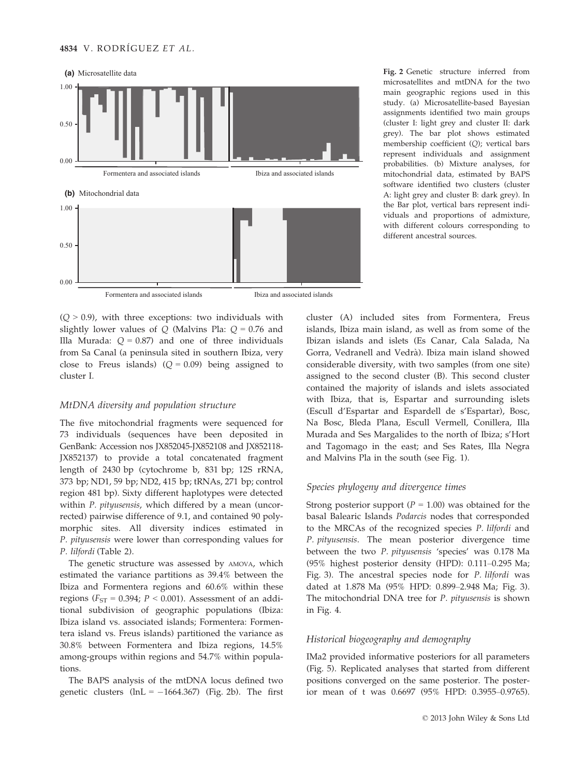

Formentera and associated islands Ibiza and associated islands

 $(Q > 0.9)$ , with three exceptions: two individuals with slightly lower values of  $Q$  (Malvins Pla:  $Q = 0.76$  and Illa Murada:  $Q = 0.87$ ) and one of three individuals from Sa Canal (a peninsula sited in southern Ibiza, very close to Freus islands)  $(Q = 0.09)$  being assigned to cluster I.

## MtDNA diversity and population structure

The five mitochondrial fragments were sequenced for 73 individuals (sequences have been deposited in GenBank: Accession nos JX852045-JX852108 and JX852118- JX852137) to provide a total concatenated fragment length of 2430 bp (cytochrome b, 831 bp; 12S rRNA, 373 bp; ND1, 59 bp; ND2, 415 bp; tRNAs, 271 bp; control region 481 bp). Sixty different haplotypes were detected within P. *pityusensis*, which differed by a mean (uncorrected) pairwise difference of 9.1, and contained 90 polymorphic sites. All diversity indices estimated in P. pityusensis were lower than corresponding values for P. lilfordi (Table 2).

The genetic structure was assessed by AMOVA, which estimated the variance partitions as 39.4% between the Ibiza and Formentera regions and 60.6% within these regions ( $F_{ST}$  = 0.394;  $P$  < 0.001). Assessment of an additional subdivision of geographic populations (Ibiza: Ibiza island vs. associated islands; Formentera: Formentera island vs. Freus islands) partitioned the variance as 30.8% between Formentera and Ibiza regions, 14.5% among-groups within regions and 54.7% within populations.

The BAPS analysis of the mtDNA locus defined two genetic clusters  $(lnL = -1664.367)$  (Fig. 2b). The first Fig. 2 Genetic structure inferred from microsatellites and mtDNA for the two main geographic regions used in this study. (a) Microsatellite-based Bayesian assignments identified two main groups (cluster I: light grey and cluster II: dark grey). The bar plot shows estimated membership coefficient (Q); vertical bars represent individuals and assignment probabilities. (b) Mixture analyses, for mitochondrial data, estimated by BAPS software identified two clusters (cluster A: light grey and cluster B: dark grey). In the Bar plot, vertical bars represent individuals and proportions of admixture, with different colours corresponding to different ancestral sources.

cluster (A) included sites from Formentera, Freus islands, Ibiza main island, as well as from some of the Ibizan islands and islets (Es Canar, Cala Salada, Na Gorra, Vedranell and Vedrà). Ibiza main island showed considerable diversity, with two samples (from one site) assigned to the second cluster (B). This second cluster contained the majority of islands and islets associated with Ibiza, that is, Espartar and surrounding islets (Escull d'Espartar and Espardell de s'Espartar), Bosc, Na Bosc, Bleda Plana, Escull Vermell, Conillera, Illa Murada and Ses Margalides to the north of Ibiza; s'Hort and Tagomago in the east; and Ses Rates, Illa Negra and Malvins Pla in the south (see Fig. 1).

### Species phylogeny and divergence times

Strong posterior support ( $P = 1.00$ ) was obtained for the basal Balearic Islands Podarcis nodes that corresponded to the MRCAs of the recognized species P. lilfordi and P. pityusensis. The mean posterior divergence time between the two P. pityusensis 'species' was 0.178 Ma (95% highest posterior density (HPD): 0.111–0.295 Ma; Fig. 3). The ancestral species node for P. lilfordi was dated at 1.878 Ma (95% HPD: 0.899–2.948 Ma; Fig. 3). The mitochondrial DNA tree for P. pityusensis is shown in Fig. 4.

## Historical biogeography and demography

IMa2 provided informative posteriors for all parameters (Fig. 5). Replicated analyses that started from different positions converged on the same posterior. The posterior mean of t was 0.6697 (95% HPD: 0.3955–0.9765).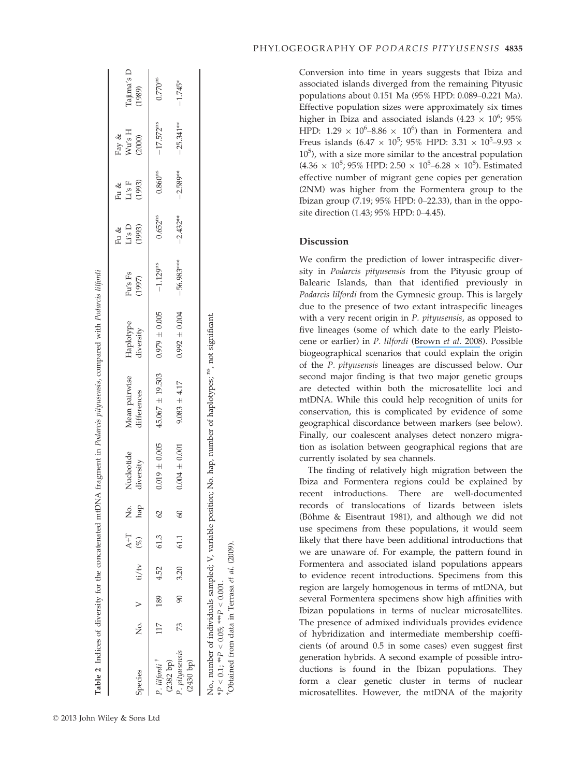| Species                                      |  | No. $V = t/\tau v$ (%) |      | hap<br>$A+T$ No. | Nucleotide<br>diversity | Mean pairwise<br>differences | Haplotype<br>diversity | Fu's Fs<br>(1997) | Li's D<br>(1993)<br>Fu & | Li's F<br>(1993)<br>Fu & | Wu's H<br>Fay &<br>(2000) | Tajima's D<br>(1989)  |
|----------------------------------------------|--|------------------------|------|------------------|-------------------------|------------------------------|------------------------|-------------------|--------------------------|--------------------------|---------------------------|-----------------------|
| P. lilfordi <sup>†</sup>                     |  | $117$ $189$ $4.52$     | 61.3 |                  | $0.019 \pm 0.005$       | $45.067 \pm 19.503$          | $0.979 \pm 0.005$      | $-1.129^{ns}$     | $0.652$ <sup>ns</sup>    | $0.860^{\rm ns}$         | $-17.572^{ns}$            | $0.770$ <sup>ns</sup> |
| P. pityusensis<br>$(2430$ bp)<br>$(2382$ bp) |  | 73 90 3.20             | 61.1 | $\mathcal{E}$    | $0.004 \pm 0.001$       | $9.083 \pm 4.17$             | $0.992 \pm 0.004$      | $-56.983***$      | $-2.432**$               | $-2.589**$               | $-25.341**$               | $-1.745*$             |

 $*P < 0.1;$   $*$ 

 $\overline{\phantom{a}}$  $P < 0.05;$  \*\*\*

 $\overline{\phantom{a}}$  $P < 0.001$  . †Obtained from data in Terrasa et al. (2009).

Obtained from data in Terrasa et al. (2009).

PHYLOGEOGRAPHY OF PODARCIS PITYUSENSIS 4835

Conversion into time in years suggests that Ibiza and associated islands diverged from the remaining Pityusic populations about 0.151 Ma (95% HPD: 0.089–0.221 Ma). Effective population sizes were approximately six times higher in Ibiza and associated islands (4.23  $\times$  10<sup>6</sup>; 95% HPD:  $1.29 \times 10^6 - 8.86 \times 10^6$ ) than in Formentera and Freus islands  $(6.47 \times 10^5; 95\% \text{ HPD: } 3.31 \times 10^5 \text{--} 9.93 \times 10^5 \text{--} 10^{10} \text{--} 10^{11} \text{--} 10^{11} \text{--} 10^{11} \text{--} 10^{11} \text{--} 10^{11} \text{--} 10^{11} \text{--} 10^{11} \text{--} 10^{11} \text{--} 10^{11} \text{--} 10^{11} \text{--} 10^{11} \text{--} 10$ 105 ), with a size more similar to the ancestral population  $(4.36 \times 10^5)$ ; 95% HPD: 2.50  $\times$  10<sup>5</sup>–6.28  $\times$  10<sup>5</sup>). Estimated effective number of migrant gene copies per generation (2NM) was higher from the Formentera group to the Ibizan group (7.19; 95% HPD: 0–22.33), than in the opposite direction (1.43; 95% HPD: 0–4.45).

# Discussion

We confirm the prediction of lower intraspecific diversity in Podarcis pityusensis from the Pityusic group of Balearic Islands, than that identified previously in Podarcis lilfordi from the Gymnesic group. This is largely due to the presence of two extant intraspecific lineages with a very recent origin in *P. pityusensis*, as opposed to five lineages (some of which date to the early Pleistocene or earlier) in P. lilfordi ([Brown](https://www.researchgate.net/publication/5347886_Bayesian_estimation_of_post-Messinian_divergence_times_in_Balearic_Island_lizards?el=1_x_8&enrichId=rgreq-15893e3d5ff518c30987b76258204bb4-XXX&enrichSource=Y292ZXJQYWdlOzI1NjA3MTU3OTtBUzoxMDM3ODM5NzE0MjYzMTJAMTQwMTc1NTQzNTQxNQ==) et al. 2008). Possible biogeographical scenarios that could explain the origin of the P. pityusensis lineages are discussed below. Our second major finding is that two major genetic groups are detected within both the microsatellite loci and mtDNA. While this could help recognition of units for conservation, this is complicated by evidence of some geographical discordance between markers (see below). Finally, our coalescent analyses detect nonzero migration as isolation between geographical regions that are currently isolated by sea channels.

The finding of relatively high migration between the Ibiza and Formentera regions could be explained by recent introductions. There are well-documented records of translocations of lizards between islets (Böhme  $&$  Eisentraut 1981), and although we did not use specimens from these populations, it would seem likely that there have been additional introductions that we are unaware of. For example, the pattern found in Formentera and associated island populations appears to evidence recent introductions. Specimens from this region are largely homogenous in terms of mtDNA, but several Formentera specimens show high affinities with Ibizan populations in terms of nuclear microsatellites. The presence of admixed individuals provides evidence of hybridization and intermediate membership coefficients (of around 0.5 in some cases) even suggest first generation hybrids. A second example of possible introductions is found in the Ibizan populations. They form a clear genetic cluster in terms of nuclear microsatellites. However, the mtDNA of the majority

Table 2 Indices of diversity for the concatenated mtDNA fragment in *Podarcis pituusensis*, compared with *Podarcis lilfordi*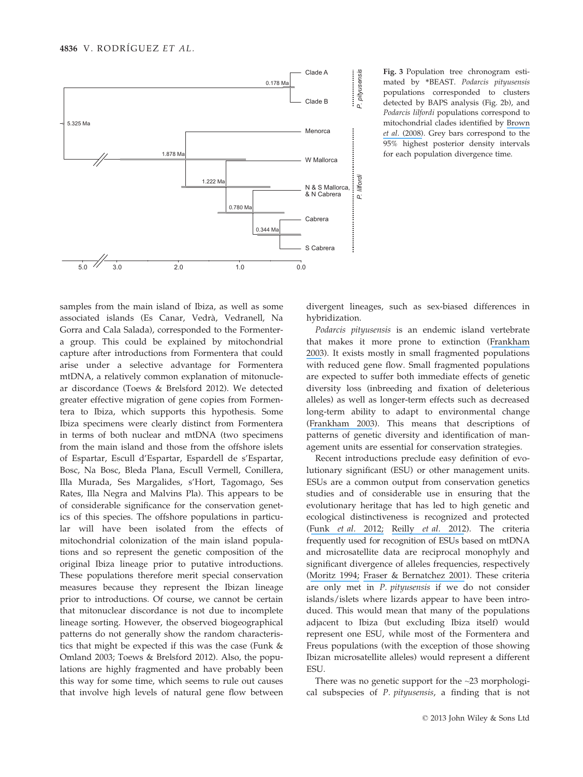

samples from the main island of Ibiza, as well as some associated islands (Es Canar, Vedrà, Vedranell, Na Gorra and Cala Salada), corresponded to the Formentera group. This could be explained by mitochondrial capture after introductions from Formentera that could arise under a selective advantage for Formentera mtDNA, a relatively common explanation of mitonuclear discordance (Toews & Brelsford 2012). We detected greater effective migration of gene copies from Formentera to Ibiza, which supports this hypothesis. Some Ibiza specimens were clearly distinct from Formentera in terms of both nuclear and mtDNA (two specimens from the main island and those from the offshore islets of Espartar, Escull d'Espartar, Espardell de s'Espartar, Bosc, Na Bosc, Bleda Plana, Escull Vermell, Conillera, Illa Murada, Ses Margalides, s'Hort, Tagomago, Ses Rates, Illa Negra and Malvins Pla). This appears to be of considerable significance for the conservation genetics of this species. The offshore populations in particular will have been isolated from the effects of mitochondrial colonization of the main island populations and so represent the genetic composition of the original Ibiza lineage prior to putative introductions. These populations therefore merit special conservation measures because they represent the Ibizan lineage prior to introductions. Of course, we cannot be certain that mitonuclear discordance is not due to incomplete lineage sorting. However, the observed biogeographical patterns do not generally show the random characteristics that might be expected if this was the case (Funk & Omland 2003; Toews & Brelsford 2012). Also, the populations are highly fragmented and have probably been this way for some time, which seems to rule out causes that involve high levels of natural gene flow between

Fig. 3 Population tree chronogram estimated by \*BEAST. Podarcis pityusensis populations corresponded to clusters detected by BAPS analysis (Fig. 2b), and Podarcis lilfordi populations correspond to mitochondrial clades identified by [Brown](https://www.researchgate.net/publication/5347886_Bayesian_estimation_of_post-Messinian_divergence_times_in_Balearic_Island_lizards?el=1_x_8&enrichId=rgreq-15893e3d5ff518c30987b76258204bb4-XXX&enrichSource=Y292ZXJQYWdlOzI1NjA3MTU3OTtBUzoxMDM3ODM5NzE0MjYzMTJAMTQwMTc1NTQzNTQxNQ==) et al. [\(2008\)](https://www.researchgate.net/publication/5347886_Bayesian_estimation_of_post-Messinian_divergence_times_in_Balearic_Island_lizards?el=1_x_8&enrichId=rgreq-15893e3d5ff518c30987b76258204bb4-XXX&enrichSource=Y292ZXJQYWdlOzI1NjA3MTU3OTtBUzoxMDM3ODM5NzE0MjYzMTJAMTQwMTc1NTQzNTQxNQ==). Grey bars correspond to the 95% highest posterior density intervals for each population divergence time.

divergent lineages, such as sex-biased differences in hybridization.

Podarcis pityusensis is an endemic island vertebrate that makes it more prone to extinction ([Frankham](https://www.researchgate.net/publication/9052387_Genetics_and_conservation_biology?el=1_x_8&enrichId=rgreq-15893e3d5ff518c30987b76258204bb4-XXX&enrichSource=Y292ZXJQYWdlOzI1NjA3MTU3OTtBUzoxMDM3ODM5NzE0MjYzMTJAMTQwMTc1NTQzNTQxNQ==) [2003](https://www.researchgate.net/publication/9052387_Genetics_and_conservation_biology?el=1_x_8&enrichId=rgreq-15893e3d5ff518c30987b76258204bb4-XXX&enrichSource=Y292ZXJQYWdlOzI1NjA3MTU3OTtBUzoxMDM3ODM5NzE0MjYzMTJAMTQwMTc1NTQzNTQxNQ==)). It exists mostly in small fragmented populations with reduced gene flow. Small fragmented populations are expected to suffer both immediate effects of genetic diversity loss (inbreeding and fixation of deleterious alleles) as well as longer-term effects such as decreased long-term ability to adapt to environmental change ([Frankham 2003](https://www.researchgate.net/publication/9052387_Genetics_and_conservation_biology?el=1_x_8&enrichId=rgreq-15893e3d5ff518c30987b76258204bb4-XXX&enrichSource=Y292ZXJQYWdlOzI1NjA3MTU3OTtBUzoxMDM3ODM5NzE0MjYzMTJAMTQwMTc1NTQzNTQxNQ==)). This means that descriptions of patterns of genetic diversity and identification of management units are essential for conservation strategies.

Recent introductions preclude easy definition of evolutionary significant (ESU) or other management units. ESUs are a common output from conservation genetics studies and of considerable use in ensuring that the evolutionary heritage that has led to high genetic and ecological distinctiveness is recognized and protected (Funk et al. [2012;](https://www.researchgate.net/publication/228061106_Harnessing_genomics_for_delineating_conservation_units?el=1_x_8&enrichId=rgreq-15893e3d5ff518c30987b76258204bb4-XXX&enrichSource=Y292ZXJQYWdlOzI1NjA3MTU3OTtBUzoxMDM3ODM5NzE0MjYzMTJAMTQwMTc1NTQzNTQxNQ==) [Reilly](https://www.researchgate.net/publication/232698227_Defining_evolutionary_boundaries_across_parapatric_ecomorphs_of_Black_Salamanders_Aneides_flavipunctatus_with_conservation_implications?el=1_x_8&enrichId=rgreq-15893e3d5ff518c30987b76258204bb4-XXX&enrichSource=Y292ZXJQYWdlOzI1NjA3MTU3OTtBUzoxMDM3ODM5NzE0MjYzMTJAMTQwMTc1NTQzNTQxNQ==) et al. 2012). The criteria frequently used for recognition of ESUs based on mtDNA and microsatellite data are reciprocal monophyly and significant divergence of alleles frequencies, respectively ([Moritz 1994;](https://www.researchgate.net/publication/258305127_Definingaposevolutionarily_significant_unitsapos_for_conservation?el=1_x_8&enrichId=rgreq-15893e3d5ff518c30987b76258204bb4-XXX&enrichSource=Y292ZXJQYWdlOzI1NjA3MTU3OTtBUzoxMDM3ODM5NzE0MjYzMTJAMTQwMTc1NTQzNTQxNQ==) [Fraser & Bernatchez 2001](https://www.researchgate.net/publication/11459968_Adaptive_evolutionary_conservation_Towards_a_unified_concept_for_defining_conservation_units?el=1_x_8&enrichId=rgreq-15893e3d5ff518c30987b76258204bb4-XXX&enrichSource=Y292ZXJQYWdlOzI1NjA3MTU3OTtBUzoxMDM3ODM5NzE0MjYzMTJAMTQwMTc1NTQzNTQxNQ==)). These criteria are only met in P. pityusensis if we do not consider islands/islets where lizards appear to have been introduced. This would mean that many of the populations adjacent to Ibiza (but excluding Ibiza itself) would represent one ESU, while most of the Formentera and Freus populations (with the exception of those showing Ibizan microsatellite alleles) would represent a different ESU.

There was no genetic support for the ~23 morphological subspecies of P. pityusensis, a finding that is not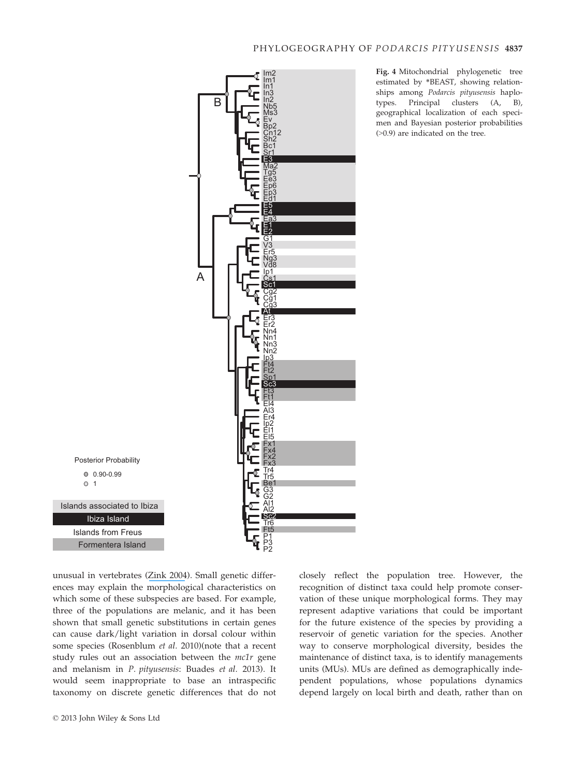

Fig. 4 Mitochondrial phylogenetic tree estimated by \*BEAST, showing relationships among Podarcis pityusensis haplotypes. Principal clusters (A, B), geographical localization of each specimen and Bayesian posterior probabilities (>0.9) are indicated on the tree.

unusual in vertebrates ([Zink 2004](https://www.researchgate.net/publication/8549288_The_role_of_subspecies_in_obscuring_biological_diversity_and_misleading_conservation_policy?el=1_x_8&enrichId=rgreq-15893e3d5ff518c30987b76258204bb4-XXX&enrichSource=Y292ZXJQYWdlOzI1NjA3MTU3OTtBUzoxMDM3ODM5NzE0MjYzMTJAMTQwMTc1NTQzNTQxNQ==)). Small genetic differences may explain the morphological characteristics on which some of these subspecies are based. For example, three of the populations are melanic, and it has been shown that small genetic substitutions in certain genes can cause dark/light variation in dorsal colour within some species (Rosenblum et al. 2010)(note that a recent study rules out an association between the mc1r gene and melanism in P. pityusensis: Buades et al. 2013). It would seem inappropriate to base an intraspecific taxonomy on discrete genetic differences that do not closely reflect the population tree. However, the recognition of distinct taxa could help promote conservation of these unique morphological forms. They may represent adaptive variations that could be important for the future existence of the species by providing a reservoir of genetic variation for the species. Another way to conserve morphological diversity, besides the maintenance of distinct taxa, is to identify managements units (MUs). MUs are defined as demographically independent populations, whose populations dynamics depend largely on local birth and death, rather than on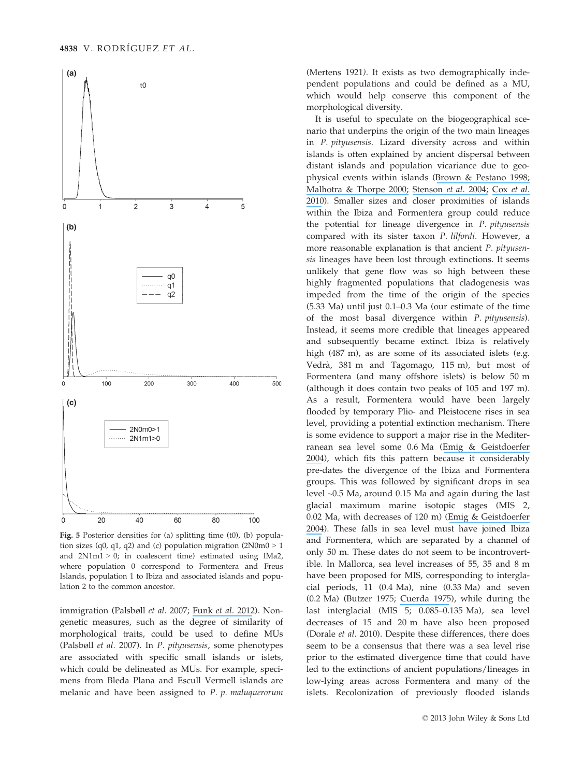

Fig. 5 Posterior densities for (a) splitting time (t0), (b) population sizes (q0, q1, q2) and (c) population migration  $(2N0m0 > 1$ and  $2N1m1 > 0$ ; in coalescent time) estimated using IMa2, where population 0 correspond to Formentera and Freus Islands, population 1 to Ibiza and associated islands and population 2 to the common ancestor.

immigration (Palsbøll et al. 2007; [Funk](https://www.researchgate.net/publication/228061106_Harnessing_genomics_for_delineating_conservation_units?el=1_x_8&enrichId=rgreq-15893e3d5ff518c30987b76258204bb4-XXX&enrichSource=Y292ZXJQYWdlOzI1NjA3MTU3OTtBUzoxMDM3ODM5NzE0MjYzMTJAMTQwMTc1NTQzNTQxNQ==) et al. 2012). Nongenetic measures, such as the degree of similarity of morphological traits, could be used to define MUs (Palsbøll et al. 2007). In P. pityusensis, some phenotypes are associated with specific small islands or islets, which could be delineated as MUs. For example, specimens from Bleda Plana and Escull Vermell islands are melanic and have been assigned to P. p. maluquerorum (Mertens 1921). It exists as two demographically independent populations and could be defined as a MU, which would help conserve this component of the morphological diversity.

It is useful to speculate on the biogeographical scenario that underpins the origin of the two main lineages in P. pityusensis. Lizard diversity across and within islands is often explained by ancient dispersal between distant islands and population vicariance due to geophysical events within islands ([Brown & Pestano 1998;](https://www.researchgate.net/publication/13551875_Phylogeography_of_skinks_Chalcides_in_the_Canary_Islands_inferred_from_mitochondrial_DNA_sequences?el=1_x_8&enrichId=rgreq-15893e3d5ff518c30987b76258204bb4-XXX&enrichSource=Y292ZXJQYWdlOzI1NjA3MTU3OTtBUzoxMDM3ODM5NzE0MjYzMTJAMTQwMTc1NTQzNTQxNQ==) [Malhotra & Thorpe 2000;](https://www.researchgate.net/publication/12383885_The_dynamics_of_natural_selection_and_vicariance_in_the_Dominican_anole_Patterns_of_within-island_molecular_and_morphological_divergence?el=1_x_8&enrichId=rgreq-15893e3d5ff518c30987b76258204bb4-XXX&enrichSource=Y292ZXJQYWdlOzI1NjA3MTU3OTtBUzoxMDM3ODM5NzE0MjYzMTJAMTQwMTc1NTQzNTQxNQ==) [Stenson](https://www.researchgate.net/publication/8519858_Evolutionary_differentiation_of_bimaculatus_group_anoles_based_on_analyses_of_mtDNA_and_microsatellite_data?el=1_x_8&enrichId=rgreq-15893e3d5ff518c30987b76258204bb4-XXX&enrichSource=Y292ZXJQYWdlOzI1NjA3MTU3OTtBUzoxMDM3ODM5NzE0MjYzMTJAMTQwMTc1NTQzNTQxNQ==) et al. 2004; Cox [et al.](https://www.researchgate.net/publication/42388703_Divergence_times_and_colonization_of_the_Canary_Islands_by_Gallotia_lizards?el=1_x_8&enrichId=rgreq-15893e3d5ff518c30987b76258204bb4-XXX&enrichSource=Y292ZXJQYWdlOzI1NjA3MTU3OTtBUzoxMDM3ODM5NzE0MjYzMTJAMTQwMTc1NTQzNTQxNQ==) [2010](https://www.researchgate.net/publication/42388703_Divergence_times_and_colonization_of_the_Canary_Islands_by_Gallotia_lizards?el=1_x_8&enrichId=rgreq-15893e3d5ff518c30987b76258204bb4-XXX&enrichSource=Y292ZXJQYWdlOzI1NjA3MTU3OTtBUzoxMDM3ODM5NzE0MjYzMTJAMTQwMTc1NTQzNTQxNQ==)). Smaller sizes and closer proximities of islands within the Ibiza and Formentera group could reduce the potential for lineage divergence in P. pityusensis compared with its sister taxon P. lilfordi. However, a more reasonable explanation is that ancient P. pityusensis lineages have been lost through extinctions. It seems unlikely that gene flow was so high between these highly fragmented populations that cladogenesis was impeded from the time of the origin of the species (5.33 Ma) until just 0.1–0.3 Ma (our estimate of the time of the most basal divergence within P. pityusensis). Instead, it seems more credible that lineages appeared and subsequently became extinct. Ibiza is relatively high (487 m), as are some of its associated islets (e.g. Vedrà, 381 m and Tagomago, 115 m), but most of Formentera (and many offshore islets) is below 50 m (although it does contain two peaks of 105 and 197 m). As a result, Formentera would have been largely flooded by temporary Plio- and Pleistocene rises in sea level, providing a potential extinction mechanism. There is some evidence to support a major rise in the Mediterranean sea level some 0.6 Ma ([Emig & Geistdoerfer](https://www.researchgate.net/publication/26396547_The_Mediterranean_deep-sea_fauna_Historical_evolution_bathymetric_variations_and_geographical_changes?el=1_x_8&enrichId=rgreq-15893e3d5ff518c30987b76258204bb4-XXX&enrichSource=Y292ZXJQYWdlOzI1NjA3MTU3OTtBUzoxMDM3ODM5NzE0MjYzMTJAMTQwMTc1NTQzNTQxNQ==) [2004](https://www.researchgate.net/publication/26396547_The_Mediterranean_deep-sea_fauna_Historical_evolution_bathymetric_variations_and_geographical_changes?el=1_x_8&enrichId=rgreq-15893e3d5ff518c30987b76258204bb4-XXX&enrichSource=Y292ZXJQYWdlOzI1NjA3MTU3OTtBUzoxMDM3ODM5NzE0MjYzMTJAMTQwMTc1NTQzNTQxNQ==)), which fits this pattern because it considerably pre-dates the divergence of the Ibiza and Formentera groups. This was followed by significant drops in sea level ~0.5 Ma, around 0.15 Ma and again during the last glacial maximum marine isotopic stages (MIS 2, 0.02 Ma, with decreases of 120 m) ([Emig & Geistdoerfer](https://www.researchgate.net/publication/26396547_The_Mediterranean_deep-sea_fauna_Historical_evolution_bathymetric_variations_and_geographical_changes?el=1_x_8&enrichId=rgreq-15893e3d5ff518c30987b76258204bb4-XXX&enrichSource=Y292ZXJQYWdlOzI1NjA3MTU3OTtBUzoxMDM3ODM5NzE0MjYzMTJAMTQwMTc1NTQzNTQxNQ==) [2004](https://www.researchgate.net/publication/26396547_The_Mediterranean_deep-sea_fauna_Historical_evolution_bathymetric_variations_and_geographical_changes?el=1_x_8&enrichId=rgreq-15893e3d5ff518c30987b76258204bb4-XXX&enrichSource=Y292ZXJQYWdlOzI1NjA3MTU3OTtBUzoxMDM3ODM5NzE0MjYzMTJAMTQwMTc1NTQzNTQxNQ==)). These falls in sea level must have joined Ibiza and Formentera, which are separated by a channel of only 50 m. These dates do not seem to be incontrovertible. In Mallorca, sea level increases of 55, 35 and 8 m have been proposed for MIS, corresponding to interglacial periods, 11 (0.4 Ma), nine (0.33 Ma) and seven (0.2 Ma) (Butzer 1975; [Cuerda 1975](https://www.researchgate.net/publication/293183983_Los_Tiempos_Cuaternarios_en_Baleares?el=1_x_8&enrichId=rgreq-15893e3d5ff518c30987b76258204bb4-XXX&enrichSource=Y292ZXJQYWdlOzI1NjA3MTU3OTtBUzoxMDM3ODM5NzE0MjYzMTJAMTQwMTc1NTQzNTQxNQ==)), while during the last interglacial (MIS 5; 0.085–0.135 Ma), sea level decreases of 15 and 20 m have also been proposed (Dorale et al. 2010). Despite these differences, there does seem to be a consensus that there was a sea level rise prior to the estimated divergence time that could have led to the extinctions of ancient populations/lineages in low-lying areas across Formentera and many of the islets. Recolonization of previously flooded islands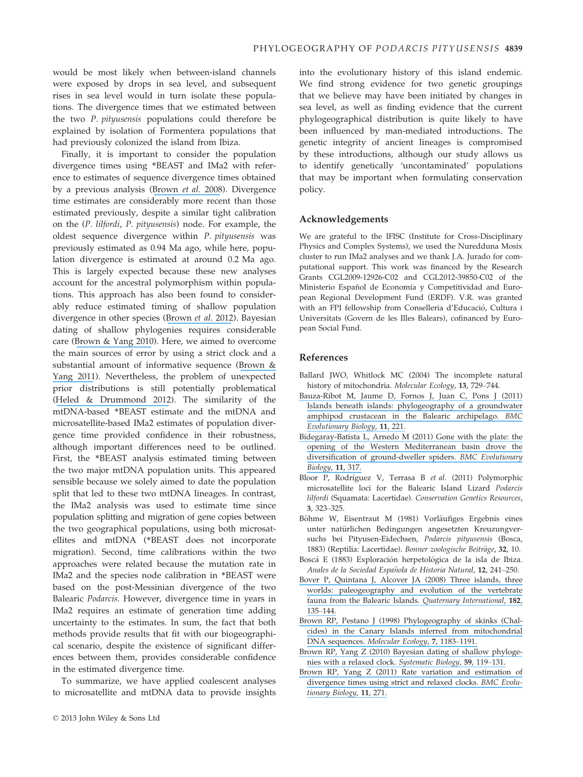would be most likely when between-island channels were exposed by drops in sea level, and subsequent rises in sea level would in turn isolate these populations. The divergence times that we estimated between the two P. pityusensis populations could therefore be explained by isolation of Formentera populations that had previously colonized the island from Ibiza.

Finally, it is important to consider the population divergence times using \*BEAST and IMa2 with reference to estimates of sequence divergence times obtained by a previous analysis ([Brown](https://www.researchgate.net/publication/5347886_Bayesian_estimation_of_post-Messinian_divergence_times_in_Balearic_Island_lizards?el=1_x_8&enrichId=rgreq-15893e3d5ff518c30987b76258204bb4-XXX&enrichSource=Y292ZXJQYWdlOzI1NjA3MTU3OTtBUzoxMDM3ODM5NzE0MjYzMTJAMTQwMTc1NTQzNTQxNQ==) et al. 2008). Divergence time estimates are considerably more recent than those estimated previously, despite a similar tight calibration on the (P. lilfordi, P. pityusensis) node. For example, the oldest sequence divergence within P. pityusensis was previously estimated as 0.94 Ma ago, while here, population divergence is estimated at around 0.2 Ma ago. This is largely expected because these new analyses account for the ancestral polymorphism within populations. This approach has also been found to considerably reduce estimated timing of shallow population divergence in other species ([Brown](https://www.researchgate.net/publication/234090763_Species_delimitation_and_digit_number_in_a_North_African_skink?el=1_x_8&enrichId=rgreq-15893e3d5ff518c30987b76258204bb4-XXX&enrichSource=Y292ZXJQYWdlOzI1NjA3MTU3OTtBUzoxMDM3ODM5NzE0MjYzMTJAMTQwMTc1NTQzNTQxNQ==) et al. 2012). Bayesian dating of shallow phylogenies requires considerable care ([Brown & Yang 2010](https://www.researchgate.net/publication/44651601_Bayesian_Dating_of_Shallow_Phylogenies_with_a_Relaxed_Clock?el=1_x_8&enrichId=rgreq-15893e3d5ff518c30987b76258204bb4-XXX&enrichSource=Y292ZXJQYWdlOzI1NjA3MTU3OTtBUzoxMDM3ODM5NzE0MjYzMTJAMTQwMTc1NTQzNTQxNQ==)). Here, we aimed to overcome the main sources of error by using a strict clock and a substantial amount of informative sequence ([Brown &](https://www.researchgate.net/publication/51670217_Rate_variation_and_estimation_of_divergence_times_using_strict_and_relaxed_clocks?el=1_x_8&enrichId=rgreq-15893e3d5ff518c30987b76258204bb4-XXX&enrichSource=Y292ZXJQYWdlOzI1NjA3MTU3OTtBUzoxMDM3ODM5NzE0MjYzMTJAMTQwMTc1NTQzNTQxNQ==) [Yang 2011](https://www.researchgate.net/publication/51670217_Rate_variation_and_estimation_of_divergence_times_using_strict_and_relaxed_clocks?el=1_x_8&enrichId=rgreq-15893e3d5ff518c30987b76258204bb4-XXX&enrichSource=Y292ZXJQYWdlOzI1NjA3MTU3OTtBUzoxMDM3ODM5NzE0MjYzMTJAMTQwMTc1NTQzNTQxNQ==)). Nevertheless, the problem of unexpected prior distributions is still potentially problematical ([Heled & Drummond 2012](https://www.researchgate.net/publication/51585564_Calibrated_Tree_Priors_for_Relaxed_Phylogenetics_and_Divergence_Time_Estimation?el=1_x_8&enrichId=rgreq-15893e3d5ff518c30987b76258204bb4-XXX&enrichSource=Y292ZXJQYWdlOzI1NjA3MTU3OTtBUzoxMDM3ODM5NzE0MjYzMTJAMTQwMTc1NTQzNTQxNQ==)). The similarity of the mtDNA-based \*BEAST estimate and the mtDNA and microsatellite-based IMa2 estimates of population divergence time provided confidence in their robustness, although important differences need to be outlined. First, the \*BEAST analysis estimated timing between the two major mtDNA population units. This appeared sensible because we solely aimed to date the population split that led to these two mtDNA lineages. In contrast, the IMa2 analysis was used to estimate time since population splitting and migration of gene copies between the two geographical populations, using both microsatellites and mtDNA (\*BEAST does not incorporate migration). Second, time calibrations within the two approaches were related because the mutation rate in IMa2 and the species node calibration in \*BEAST were based on the post-Messinian divergence of the two Balearic Podarcis. However, divergence time in years in IMa2 requires an estimate of generation time adding uncertainty to the estimates. In sum, the fact that both methods provide results that fit with our biogeographical scenario, despite the existence of significant differences between them, provides considerable confidence in the estimated divergence time.

To summarize, we have applied coalescent analyses to microsatellite and mtDNA data to provide insights into the evolutionary history of this island endemic. We find strong evidence for two genetic groupings that we believe may have been initiated by changes in sea level, as well as finding evidence that the current phylogeographical distribution is quite likely to have been influenced by man-mediated introductions. The genetic integrity of ancient lineages is compromised by these introductions, although our study allows us to identify genetically 'uncontaminated' populations that may be important when formulating conservation policy.

# Acknowledgements

We are grateful to the IFISC (Institute for Cross-Disciplinary Physics and Complex Systems), we used the Nuredduna Mosix cluster to run IMa2 analyses and we thank J.A. Jurado for computational support. This work was financed by the Research Grants CGL2009-12926-C02 and CGL2012-39850-C02 of the Ministerio Español de Economía y Competitividad and European Regional Development Fund (ERDF). V.R. was granted with an FPI fellowship from Conselleria d'Educació, Cultura i Universitats (Govern de les Illes Balears), cofinanced by European Social Fund.

## References

- Ballard JWO, Whitlock MC (2004) The incomplete natural history of mitochondria. Molecular Ecology, 13, 729–744.
- [Bauza-Ribot M, Jaume D, Fornos J, Juan C, Pons J \(2011\)](https://www.researchgate.net/publication/51522853_Islands_beneath_islands_Phylogeography_of_a_groundwater_amphipod_crustacean_in_the_Balearic_archipelago?el=1_x_8&enrichId=rgreq-15893e3d5ff518c30987b76258204bb4-XXX&enrichSource=Y292ZXJQYWdlOzI1NjA3MTU3OTtBUzoxMDM3ODM5NzE0MjYzMTJAMTQwMTc1NTQzNTQxNQ==) [Islands beneath islands: phylogeography of a groundwater](https://www.researchgate.net/publication/51522853_Islands_beneath_islands_Phylogeography_of_a_groundwater_amphipod_crustacean_in_the_Balearic_archipelago?el=1_x_8&enrichId=rgreq-15893e3d5ff518c30987b76258204bb4-XXX&enrichSource=Y292ZXJQYWdlOzI1NjA3MTU3OTtBUzoxMDM3ODM5NzE0MjYzMTJAMTQwMTc1NTQzNTQxNQ==) [amphipod crustacean in the Balearic archipelago.](https://www.researchgate.net/publication/51522853_Islands_beneath_islands_Phylogeography_of_a_groundwater_amphipod_crustacean_in_the_Balearic_archipelago?el=1_x_8&enrichId=rgreq-15893e3d5ff518c30987b76258204bb4-XXX&enrichSource=Y292ZXJQYWdlOzI1NjA3MTU3OTtBUzoxMDM3ODM5NzE0MjYzMTJAMTQwMTc1NTQzNTQxNQ==) BMC [Evolutionary Biology](https://www.researchgate.net/publication/51522853_Islands_beneath_islands_Phylogeography_of_a_groundwater_amphipod_crustacean_in_the_Balearic_archipelago?el=1_x_8&enrichId=rgreq-15893e3d5ff518c30987b76258204bb4-XXX&enrichSource=Y292ZXJQYWdlOzI1NjA3MTU3OTtBUzoxMDM3ODM5NzE0MjYzMTJAMTQwMTc1NTQzNTQxNQ==), 11, 221.
- [Bidegaray-Batista L, Arnedo M \(2011\) Gone with the plate: the](https://www.researchgate.net/publication/51757201_Gone_with_the_plate_The_opening_of_the_Western_Mediterranean_basin_drove_the_diversification_of_ground-dweller_spiders?el=1_x_8&enrichId=rgreq-15893e3d5ff518c30987b76258204bb4-XXX&enrichSource=Y292ZXJQYWdlOzI1NjA3MTU3OTtBUzoxMDM3ODM5NzE0MjYzMTJAMTQwMTc1NTQzNTQxNQ==) [opening of the Western Mediterranean basin drove the](https://www.researchgate.net/publication/51757201_Gone_with_the_plate_The_opening_of_the_Western_Mediterranean_basin_drove_the_diversification_of_ground-dweller_spiders?el=1_x_8&enrichId=rgreq-15893e3d5ff518c30987b76258204bb4-XXX&enrichSource=Y292ZXJQYWdlOzI1NjA3MTU3OTtBUzoxMDM3ODM5NzE0MjYzMTJAMTQwMTc1NTQzNTQxNQ==) [diversification of ground-dweller spiders.](https://www.researchgate.net/publication/51757201_Gone_with_the_plate_The_opening_of_the_Western_Mediterranean_basin_drove_the_diversification_of_ground-dweller_spiders?el=1_x_8&enrichId=rgreq-15893e3d5ff518c30987b76258204bb4-XXX&enrichSource=Y292ZXJQYWdlOzI1NjA3MTU3OTtBUzoxMDM3ODM5NzE0MjYzMTJAMTQwMTc1NTQzNTQxNQ==) BMC Evolutionary [Biology](https://www.researchgate.net/publication/51757201_Gone_with_the_plate_The_opening_of_the_Western_Mediterranean_basin_drove_the_diversification_of_ground-dweller_spiders?el=1_x_8&enrichId=rgreq-15893e3d5ff518c30987b76258204bb4-XXX&enrichSource=Y292ZXJQYWdlOzI1NjA3MTU3OTtBUzoxMDM3ODM5NzE0MjYzMTJAMTQwMTc1NTQzNTQxNQ==), 11, 317.
- Bloor P, Rodríguez V, Terrasa B et al. (2011) Polymorphic microsatellite loci for the Balearic Island Lizard Podarcis lilfordi (Squamata: Lacertidae). Conservation Genetics Resources, 3, 323–325.
- Böhme W, Eisentraut M (1981) Vorläufiges Ergebnis eines unter natürlichen Bedingungen angesetzten Kreuzungversuchs bei Pityusen-Eidechsen, Podarcis pityusensis (Bosca, 1883) (Reptilia: Lacertidae). Bonner zoologische Beiträge, 32, 10.
- Boscá E (1883) Exploración herpetológica de la isla de Ibiza. Anales de la Sociedad Española de Historia Natural, 12, 241-250.
- [Bover P, Quintana J, Alcover JA \(2008\) Three islands, three](https://www.researchgate.net/publication/223058389_Three_islands_three_worlds_Paleogeography_and_evolution_of_the_vertebrate_fauna_from_the_Balearic_Islands?el=1_x_8&enrichId=rgreq-15893e3d5ff518c30987b76258204bb4-XXX&enrichSource=Y292ZXJQYWdlOzI1NjA3MTU3OTtBUzoxMDM3ODM5NzE0MjYzMTJAMTQwMTc1NTQzNTQxNQ==) [worlds: paleogeography and evolution of the vertebrate](https://www.researchgate.net/publication/223058389_Three_islands_three_worlds_Paleogeography_and_evolution_of_the_vertebrate_fauna_from_the_Balearic_Islands?el=1_x_8&enrichId=rgreq-15893e3d5ff518c30987b76258204bb4-XXX&enrichSource=Y292ZXJQYWdlOzI1NjA3MTU3OTtBUzoxMDM3ODM5NzE0MjYzMTJAMTQwMTc1NTQzNTQxNQ==) [fauna from the Balearic Islands.](https://www.researchgate.net/publication/223058389_Three_islands_three_worlds_Paleogeography_and_evolution_of_the_vertebrate_fauna_from_the_Balearic_Islands?el=1_x_8&enrichId=rgreq-15893e3d5ff518c30987b76258204bb4-XXX&enrichSource=Y292ZXJQYWdlOzI1NjA3MTU3OTtBUzoxMDM3ODM5NzE0MjYzMTJAMTQwMTc1NTQzNTQxNQ==) Quaternary International, 182, 135–[144.](https://www.researchgate.net/publication/223058389_Three_islands_three_worlds_Paleogeography_and_evolution_of_the_vertebrate_fauna_from_the_Balearic_Islands?el=1_x_8&enrichId=rgreq-15893e3d5ff518c30987b76258204bb4-XXX&enrichSource=Y292ZXJQYWdlOzI1NjA3MTU3OTtBUzoxMDM3ODM5NzE0MjYzMTJAMTQwMTc1NTQzNTQxNQ==)
- [Brown RP, Pestano J \(1998\) Phylogeography of skinks \(Chal](https://www.researchgate.net/publication/13551875_Phylogeography_of_skinks_Chalcides_in_the_Canary_Islands_inferred_from_mitochondrial_DNA_sequences?el=1_x_8&enrichId=rgreq-15893e3d5ff518c30987b76258204bb4-XXX&enrichSource=Y292ZXJQYWdlOzI1NjA3MTU3OTtBUzoxMDM3ODM5NzE0MjYzMTJAMTQwMTc1NTQzNTQxNQ==)[cides\) in the Canary Islands inferred from mitochondrial](https://www.researchgate.net/publication/13551875_Phylogeography_of_skinks_Chalcides_in_the_Canary_Islands_inferred_from_mitochondrial_DNA_sequences?el=1_x_8&enrichId=rgreq-15893e3d5ff518c30987b76258204bb4-XXX&enrichSource=Y292ZXJQYWdlOzI1NjA3MTU3OTtBUzoxMDM3ODM5NzE0MjYzMTJAMTQwMTc1NTQzNTQxNQ==) DNA sequences. [Molecular Ecology](https://www.researchgate.net/publication/13551875_Phylogeography_of_skinks_Chalcides_in_the_Canary_Islands_inferred_from_mitochondrial_DNA_sequences?el=1_x_8&enrichId=rgreq-15893e3d5ff518c30987b76258204bb4-XXX&enrichSource=Y292ZXJQYWdlOzI1NjA3MTU3OTtBUzoxMDM3ODM5NzE0MjYzMTJAMTQwMTc1NTQzNTQxNQ==), 7, 1183–1191.
- [Brown RP, Yang Z \(2010\) Bayesian dating of shallow phyloge](https://www.researchgate.net/publication/44651601_Bayesian_Dating_of_Shallow_Phylogenies_with_a_Relaxed_Clock?el=1_x_8&enrichId=rgreq-15893e3d5ff518c30987b76258204bb4-XXX&enrichSource=Y292ZXJQYWdlOzI1NjA3MTU3OTtBUzoxMDM3ODM5NzE0MjYzMTJAMTQwMTc1NTQzNTQxNQ==)[nies with a relaxed clock.](https://www.researchgate.net/publication/44651601_Bayesian_Dating_of_Shallow_Phylogenies_with_a_Relaxed_Clock?el=1_x_8&enrichId=rgreq-15893e3d5ff518c30987b76258204bb4-XXX&enrichSource=Y292ZXJQYWdlOzI1NjA3MTU3OTtBUzoxMDM3ODM5NzE0MjYzMTJAMTQwMTc1NTQzNTQxNQ==) Systematic Biology, 59, 119–131.
- [Brown RP, Yang Z \(2011\) Rate variation and estimation of](https://www.researchgate.net/publication/51670217_Rate_variation_and_estimation_of_divergence_times_using_strict_and_relaxed_clocks?el=1_x_8&enrichId=rgreq-15893e3d5ff518c30987b76258204bb4-XXX&enrichSource=Y292ZXJQYWdlOzI1NjA3MTU3OTtBUzoxMDM3ODM5NzE0MjYzMTJAMTQwMTc1NTQzNTQxNQ==) [divergence times using strict and relaxed clocks.](https://www.researchgate.net/publication/51670217_Rate_variation_and_estimation_of_divergence_times_using_strict_and_relaxed_clocks?el=1_x_8&enrichId=rgreq-15893e3d5ff518c30987b76258204bb4-XXX&enrichSource=Y292ZXJQYWdlOzI1NjA3MTU3OTtBUzoxMDM3ODM5NzE0MjYzMTJAMTQwMTc1NTQzNTQxNQ==) BMC Evolu[tionary Biology](https://www.researchgate.net/publication/51670217_Rate_variation_and_estimation_of_divergence_times_using_strict_and_relaxed_clocks?el=1_x_8&enrichId=rgreq-15893e3d5ff518c30987b76258204bb4-XXX&enrichSource=Y292ZXJQYWdlOzI1NjA3MTU3OTtBUzoxMDM3ODM5NzE0MjYzMTJAMTQwMTc1NTQzNTQxNQ==), 11, 271.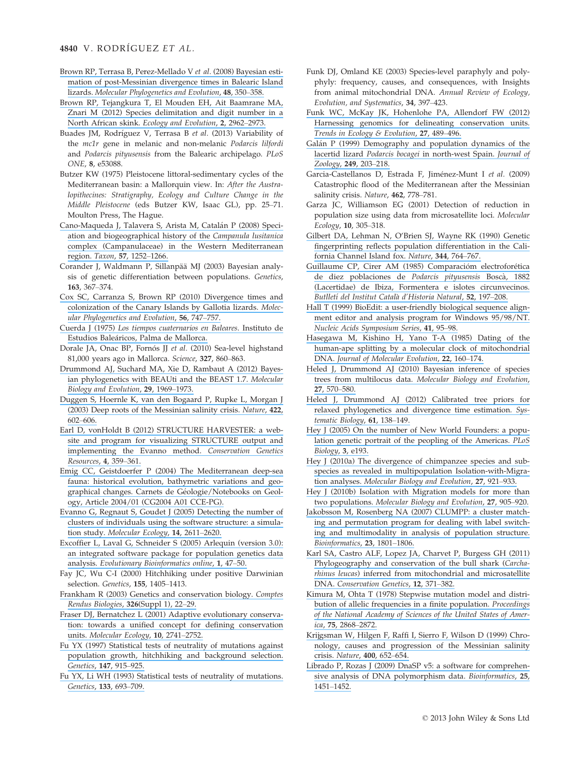- [Brown RP, Terrasa B, Perez-Mellado V](https://www.researchgate.net/publication/5347886_Bayesian_estimation_of_post-Messinian_divergence_times_in_Balearic_Island_lizards?el=1_x_8&enrichId=rgreq-15893e3d5ff518c30987b76258204bb4-XXX&enrichSource=Y292ZXJQYWdlOzI1NjA3MTU3OTtBUzoxMDM3ODM5NzE0MjYzMTJAMTQwMTc1NTQzNTQxNQ==) et al. (2008) Bayesian esti[mation of post-Messinian divergence times in Balearic Island](https://www.researchgate.net/publication/5347886_Bayesian_estimation_of_post-Messinian_divergence_times_in_Balearic_Island_lizards?el=1_x_8&enrichId=rgreq-15893e3d5ff518c30987b76258204bb4-XXX&enrichSource=Y292ZXJQYWdlOzI1NjA3MTU3OTtBUzoxMDM3ODM5NzE0MjYzMTJAMTQwMTc1NTQzNTQxNQ==) lizards. [Molecular Phylogenetics and Evolution](https://www.researchgate.net/publication/5347886_Bayesian_estimation_of_post-Messinian_divergence_times_in_Balearic_Island_lizards?el=1_x_8&enrichId=rgreq-15893e3d5ff518c30987b76258204bb4-XXX&enrichSource=Y292ZXJQYWdlOzI1NjA3MTU3OTtBUzoxMDM3ODM5NzE0MjYzMTJAMTQwMTc1NTQzNTQxNQ==), 48, 350–358.
- [Brown RP, Tejangkura T, El Mouden EH, Ait Baamrane MA,](https://www.researchgate.net/publication/234090763_Species_delimitation_and_digit_number_in_a_North_African_skink?el=1_x_8&enrichId=rgreq-15893e3d5ff518c30987b76258204bb4-XXX&enrichSource=Y292ZXJQYWdlOzI1NjA3MTU3OTtBUzoxMDM3ODM5NzE0MjYzMTJAMTQwMTc1NTQzNTQxNQ==) [Znari M \(2012\) Species delimitation and digit number in a](https://www.researchgate.net/publication/234090763_Species_delimitation_and_digit_number_in_a_North_African_skink?el=1_x_8&enrichId=rgreq-15893e3d5ff518c30987b76258204bb4-XXX&enrichSource=Y292ZXJQYWdlOzI1NjA3MTU3OTtBUzoxMDM3ODM5NzE0MjYzMTJAMTQwMTc1NTQzNTQxNQ==) North African skink. [Ecology and Evolution](https://www.researchgate.net/publication/234090763_Species_delimitation_and_digit_number_in_a_North_African_skink?el=1_x_8&enrichId=rgreq-15893e3d5ff518c30987b76258204bb4-XXX&enrichSource=Y292ZXJQYWdlOzI1NjA3MTU3OTtBUzoxMDM3ODM5NzE0MjYzMTJAMTQwMTc1NTQzNTQxNQ==), 2, 2962–2973.
- Buades JM, Rodríguez V, Terrasa B et al. (2013) Variability of the mc1r gene in melanic and non-melanic Podarcis lilfordi and Podarcis pityusensis from the Balearic archipelago. PLoS ONE, 8, e53088.
- Butzer KW (1975) Pleistocene littoral-sedimentary cycles of the Mediterranean basin: a Mallorquin view. In: After the Australopithecines: Stratigraphy, Ecology and Culture Change in the Middle Pleistocene (eds Butzer KW, Isaac GL), pp. 25–71. Moulton Press, The Hague.
- [Cano-Maqueda J, Talavera S, Arista M, Catal](https://www.researchgate.net/publication/233554581_Speciation_and_biogeographical_history_of_the_Campanula_lusitanica_complex_Campanulaceae_in_the_Western_Mediterranean_region?el=1_x_8&enrichId=rgreq-15893e3d5ff518c30987b76258204bb4-XXX&enrichSource=Y292ZXJQYWdlOzI1NjA3MTU3OTtBUzoxMDM3ODM5NzE0MjYzMTJAMTQwMTc1NTQzNTQxNQ==)án P (2008) Speci[ation and biogeographical history of the](https://www.researchgate.net/publication/233554581_Speciation_and_biogeographical_history_of_the_Campanula_lusitanica_complex_Campanulaceae_in_the_Western_Mediterranean_region?el=1_x_8&enrichId=rgreq-15893e3d5ff518c30987b76258204bb4-XXX&enrichSource=Y292ZXJQYWdlOzI1NjA3MTU3OTtBUzoxMDM3ODM5NzE0MjYzMTJAMTQwMTc1NTQzNTQxNQ==) Campanula lusitanica [complex \(Campanulaceae\) in the Western Mediterranean](https://www.researchgate.net/publication/233554581_Speciation_and_biogeographical_history_of_the_Campanula_lusitanica_complex_Campanulaceae_in_the_Western_Mediterranean_region?el=1_x_8&enrichId=rgreq-15893e3d5ff518c30987b76258204bb4-XXX&enrichSource=Y292ZXJQYWdlOzI1NjA3MTU3OTtBUzoxMDM3ODM5NzE0MjYzMTJAMTQwMTc1NTQzNTQxNQ==) [region.](https://www.researchgate.net/publication/233554581_Speciation_and_biogeographical_history_of_the_Campanula_lusitanica_complex_Campanulaceae_in_the_Western_Mediterranean_region?el=1_x_8&enrichId=rgreq-15893e3d5ff518c30987b76258204bb4-XXX&enrichSource=Y292ZXJQYWdlOzI1NjA3MTU3OTtBUzoxMDM3ODM5NzE0MjYzMTJAMTQwMTc1NTQzNTQxNQ==) Taxon, 57, 1252–1266.
- Corander J, Waldmann P, Sillanpää MJ (2003) Bayesian analysis of genetic differentiation between populations. Genetics, 163, 367–374.
- [Cox SC, Carranza S, Brown RP \(2010\) Divergence times and](https://www.researchgate.net/publication/42388703_Divergence_times_and_colonization_of_the_Canary_Islands_by_Gallotia_lizards?el=1_x_8&enrichId=rgreq-15893e3d5ff518c30987b76258204bb4-XXX&enrichSource=Y292ZXJQYWdlOzI1NjA3MTU3OTtBUzoxMDM3ODM5NzE0MjYzMTJAMTQwMTc1NTQzNTQxNQ==) [colonization of the Canary Islands by Gallotia lizards.](https://www.researchgate.net/publication/42388703_Divergence_times_and_colonization_of_the_Canary_Islands_by_Gallotia_lizards?el=1_x_8&enrichId=rgreq-15893e3d5ff518c30987b76258204bb4-XXX&enrichSource=Y292ZXJQYWdlOzI1NjA3MTU3OTtBUzoxMDM3ODM5NzE0MjYzMTJAMTQwMTc1NTQzNTQxNQ==) Molec[ular Phylogenetics and Evolution](https://www.researchgate.net/publication/42388703_Divergence_times_and_colonization_of_the_Canary_Islands_by_Gallotia_lizards?el=1_x_8&enrichId=rgreq-15893e3d5ff518c30987b76258204bb4-XXX&enrichSource=Y292ZXJQYWdlOzI1NjA3MTU3OTtBUzoxMDM3ODM5NzE0MjYzMTJAMTQwMTc1NTQzNTQxNQ==), 56, 747–757.
- Cuerda J (1975) [Los tiempos cuaternarios en Baleares](https://www.researchgate.net/publication/293183983_Los_Tiempos_Cuaternarios_en_Baleares?el=1_x_8&enrichId=rgreq-15893e3d5ff518c30987b76258204bb4-XXX&enrichSource=Y292ZXJQYWdlOzI1NjA3MTU3OTtBUzoxMDM3ODM5NzE0MjYzMTJAMTQwMTc1NTQzNTQxNQ==). Instituto de Estudios Baleáricos, Palma de Mallorca.
- Dorale JA, Onac BP, Fornós JJ et al. (2010) Sea-level highstand 81,000 years ago in Mallorca. Science, 327, 860–863.
- [Drummond AJ, Suchard MA, Xie D, Rambaut A \(2012\) Bayes](https://www.researchgate.net/publication/287175731_Bayesian_phylogenetics_with_BEAUti_and_the_BEAST_17?el=1_x_8&enrichId=rgreq-15893e3d5ff518c30987b76258204bb4-XXX&enrichSource=Y292ZXJQYWdlOzI1NjA3MTU3OTtBUzoxMDM3ODM5NzE0MjYzMTJAMTQwMTc1NTQzNTQxNQ==)[ian phylogenetics with BEAUti and the BEAST 1.7.](https://www.researchgate.net/publication/287175731_Bayesian_phylogenetics_with_BEAUti_and_the_BEAST_17?el=1_x_8&enrichId=rgreq-15893e3d5ff518c30987b76258204bb4-XXX&enrichSource=Y292ZXJQYWdlOzI1NjA3MTU3OTtBUzoxMDM3ODM5NzE0MjYzMTJAMTQwMTc1NTQzNTQxNQ==) Molecular [Biology and Evolution](https://www.researchgate.net/publication/287175731_Bayesian_phylogenetics_with_BEAUti_and_the_BEAST_17?el=1_x_8&enrichId=rgreq-15893e3d5ff518c30987b76258204bb4-XXX&enrichSource=Y292ZXJQYWdlOzI1NjA3MTU3OTtBUzoxMDM3ODM5NzE0MjYzMTJAMTQwMTc1NTQzNTQxNQ==), 29, 1969–1973.
- [Duggen S, Hoernle K, van den Bogaard P, Rupke L, Morgan J](https://www.researchgate.net/publication/10812315_Deep_roots_of_the_Messinian_Salinity_Crisis?el=1_x_8&enrichId=rgreq-15893e3d5ff518c30987b76258204bb4-XXX&enrichSource=Y292ZXJQYWdlOzI1NjA3MTU3OTtBUzoxMDM3ODM5NzE0MjYzMTJAMTQwMTc1NTQzNTQxNQ==) [\(2003\) Deep roots of the Messinian salinity crisis.](https://www.researchgate.net/publication/10812315_Deep_roots_of_the_Messinian_Salinity_Crisis?el=1_x_8&enrichId=rgreq-15893e3d5ff518c30987b76258204bb4-XXX&enrichSource=Y292ZXJQYWdlOzI1NjA3MTU3OTtBUzoxMDM3ODM5NzE0MjYzMTJAMTQwMTc1NTQzNTQxNQ==) Nature, 422, 602–[606.](https://www.researchgate.net/publication/10812315_Deep_roots_of_the_Messinian_Salinity_Crisis?el=1_x_8&enrichId=rgreq-15893e3d5ff518c30987b76258204bb4-XXX&enrichSource=Y292ZXJQYWdlOzI1NjA3MTU3OTtBUzoxMDM3ODM5NzE0MjYzMTJAMTQwMTc1NTQzNTQxNQ==)
- [Earl D, vonHoldt B \(2012\) STRUCTURE HARVESTER: a web](https://www.researchgate.net/publication/287104091_Structure_Harvester_a_website_and_program_for_visualizing_STRUCTURE_output_and_implementing_the_Evanno_method?el=1_x_8&enrichId=rgreq-15893e3d5ff518c30987b76258204bb4-XXX&enrichSource=Y292ZXJQYWdlOzI1NjA3MTU3OTtBUzoxMDM3ODM5NzE0MjYzMTJAMTQwMTc1NTQzNTQxNQ==)[site and program for visualizing STRUCTURE output and](https://www.researchgate.net/publication/287104091_Structure_Harvester_a_website_and_program_for_visualizing_STRUCTURE_output_and_implementing_the_Evanno_method?el=1_x_8&enrichId=rgreq-15893e3d5ff518c30987b76258204bb4-XXX&enrichSource=Y292ZXJQYWdlOzI1NjA3MTU3OTtBUzoxMDM3ODM5NzE0MjYzMTJAMTQwMTc1NTQzNTQxNQ==) [implementing the Evanno method.](https://www.researchgate.net/publication/287104091_Structure_Harvester_a_website_and_program_for_visualizing_STRUCTURE_output_and_implementing_the_Evanno_method?el=1_x_8&enrichId=rgreq-15893e3d5ff518c30987b76258204bb4-XXX&enrichSource=Y292ZXJQYWdlOzI1NjA3MTU3OTtBUzoxMDM3ODM5NzE0MjYzMTJAMTQwMTc1NTQzNTQxNQ==) Conservation Genetics [Resources](https://www.researchgate.net/publication/287104091_Structure_Harvester_a_website_and_program_for_visualizing_STRUCTURE_output_and_implementing_the_Evanno_method?el=1_x_8&enrichId=rgreq-15893e3d5ff518c30987b76258204bb4-XXX&enrichSource=Y292ZXJQYWdlOzI1NjA3MTU3OTtBUzoxMDM3ODM5NzE0MjYzMTJAMTQwMTc1NTQzNTQxNQ==), 4, 359–361.
- [Emig CC, Geistdoerfer P \(2004\) The Mediterranean deep-sea](https://www.researchgate.net/publication/26396547_The_Mediterranean_deep-sea_fauna_Historical_evolution_bathymetric_variations_and_geographical_changes?el=1_x_8&enrichId=rgreq-15893e3d5ff518c30987b76258204bb4-XXX&enrichSource=Y292ZXJQYWdlOzI1NjA3MTU3OTtBUzoxMDM3ODM5NzE0MjYzMTJAMTQwMTc1NTQzNTQxNQ==) [fauna: historical evolution, bathymetric variations and geo](https://www.researchgate.net/publication/26396547_The_Mediterranean_deep-sea_fauna_Historical_evolution_bathymetric_variations_and_geographical_changes?el=1_x_8&enrichId=rgreq-15893e3d5ff518c30987b76258204bb4-XXX&enrichSource=Y292ZXJQYWdlOzI1NjA3MTU3OTtBUzoxMDM3ODM5NzE0MjYzMTJAMTQwMTc1NTQzNTQxNQ==)[graphical changes. Carnets de G](https://www.researchgate.net/publication/26396547_The_Mediterranean_deep-sea_fauna_Historical_evolution_bathymetric_variations_and_geographical_changes?el=1_x_8&enrichId=rgreq-15893e3d5ff518c30987b76258204bb4-XXX&enrichSource=Y292ZXJQYWdlOzI1NjA3MTU3OTtBUzoxMDM3ODM5NzE0MjYzMTJAMTQwMTc1NTQzNTQxNQ==)éologie/Notebooks on Geol[ogy, Article 2004/01 \(CG2004 A01 CCE-PG\).](https://www.researchgate.net/publication/26396547_The_Mediterranean_deep-sea_fauna_Historical_evolution_bathymetric_variations_and_geographical_changes?el=1_x_8&enrichId=rgreq-15893e3d5ff518c30987b76258204bb4-XXX&enrichSource=Y292ZXJQYWdlOzI1NjA3MTU3OTtBUzoxMDM3ODM5NzE0MjYzMTJAMTQwMTc1NTQzNTQxNQ==)
- [Evanno G, Regnaut S, Goudet J \(2005\) Detecting the number of](https://www.researchgate.net/publication/7773162_Detecting_the_number_of_clusters_of_individuals_using_the_software_STRUCTURE_A_simulation_study?el=1_x_8&enrichId=rgreq-15893e3d5ff518c30987b76258204bb4-XXX&enrichSource=Y292ZXJQYWdlOzI1NjA3MTU3OTtBUzoxMDM3ODM5NzE0MjYzMTJAMTQwMTc1NTQzNTQxNQ==) [clusters of individuals using the software structure: a simula](https://www.researchgate.net/publication/7773162_Detecting_the_number_of_clusters_of_individuals_using_the_software_STRUCTURE_A_simulation_study?el=1_x_8&enrichId=rgreq-15893e3d5ff518c30987b76258204bb4-XXX&enrichSource=Y292ZXJQYWdlOzI1NjA3MTU3OTtBUzoxMDM3ODM5NzE0MjYzMTJAMTQwMTc1NTQzNTQxNQ==)tion study. [Molecular Ecology](https://www.researchgate.net/publication/7773162_Detecting_the_number_of_clusters_of_individuals_using_the_software_STRUCTURE_A_simulation_study?el=1_x_8&enrichId=rgreq-15893e3d5ff518c30987b76258204bb4-XXX&enrichSource=Y292ZXJQYWdlOzI1NjA3MTU3OTtBUzoxMDM3ODM5NzE0MjYzMTJAMTQwMTc1NTQzNTQxNQ==), 14, 2611–2620.
- [Excoffier L, Laval G, Schneider S \(2005\) Arlequin \(version 3.0\):](https://www.researchgate.net/publication/240434148_ARLEQUIN_ver_30_an_integrated_software_package_for_population_genetics_data_analysis?el=1_x_8&enrichId=rgreq-15893e3d5ff518c30987b76258204bb4-XXX&enrichSource=Y292ZXJQYWdlOzI1NjA3MTU3OTtBUzoxMDM3ODM5NzE0MjYzMTJAMTQwMTc1NTQzNTQxNQ==) [an integrated software package for population genetics data](https://www.researchgate.net/publication/240434148_ARLEQUIN_ver_30_an_integrated_software_package_for_population_genetics_data_analysis?el=1_x_8&enrichId=rgreq-15893e3d5ff518c30987b76258204bb4-XXX&enrichSource=Y292ZXJQYWdlOzI1NjA3MTU3OTtBUzoxMDM3ODM5NzE0MjYzMTJAMTQwMTc1NTQzNTQxNQ==) analysis. [Evolutionary Bioinformatics online](https://www.researchgate.net/publication/240434148_ARLEQUIN_ver_30_an_integrated_software_package_for_population_genetics_data_analysis?el=1_x_8&enrichId=rgreq-15893e3d5ff518c30987b76258204bb4-XXX&enrichSource=Y292ZXJQYWdlOzI1NjA3MTU3OTtBUzoxMDM3ODM5NzE0MjYzMTJAMTQwMTc1NTQzNTQxNQ==), 1, 47–50.
- Fay JC, Wu C-I (2000) Hitchhiking under positive Darwinian selection. Genetics, 155, 1405–1413.
- [Frankham R \(2003\) Genetics and conservation biology.](https://www.researchgate.net/publication/9052387_Genetics_and_conservation_biology?el=1_x_8&enrichId=rgreq-15893e3d5ff518c30987b76258204bb4-XXX&enrichSource=Y292ZXJQYWdlOzI1NjA3MTU3OTtBUzoxMDM3ODM5NzE0MjYzMTJAMTQwMTc1NTQzNTQxNQ==) Comptes [Rendus Biologies](https://www.researchgate.net/publication/9052387_Genetics_and_conservation_biology?el=1_x_8&enrichId=rgreq-15893e3d5ff518c30987b76258204bb4-XXX&enrichSource=Y292ZXJQYWdlOzI1NjA3MTU3OTtBUzoxMDM3ODM5NzE0MjYzMTJAMTQwMTc1NTQzNTQxNQ==), 326(Suppl 1), 22–29.
- [Fraser DJ, Bernatchez L \(2001\) Adaptive evolutionary conserva](https://www.researchgate.net/publication/11459968_Adaptive_evolutionary_conservation_Towards_a_unified_concept_for_defining_conservation_units?el=1_x_8&enrichId=rgreq-15893e3d5ff518c30987b76258204bb4-XXX&enrichSource=Y292ZXJQYWdlOzI1NjA3MTU3OTtBUzoxMDM3ODM5NzE0MjYzMTJAMTQwMTc1NTQzNTQxNQ==)[tion: towards a unified concept for defining conservation](https://www.researchgate.net/publication/11459968_Adaptive_evolutionary_conservation_Towards_a_unified_concept_for_defining_conservation_units?el=1_x_8&enrichId=rgreq-15893e3d5ff518c30987b76258204bb4-XXX&enrichSource=Y292ZXJQYWdlOzI1NjA3MTU3OTtBUzoxMDM3ODM5NzE0MjYzMTJAMTQwMTc1NTQzNTQxNQ==) units. [Molecular Ecology](https://www.researchgate.net/publication/11459968_Adaptive_evolutionary_conservation_Towards_a_unified_concept_for_defining_conservation_units?el=1_x_8&enrichId=rgreq-15893e3d5ff518c30987b76258204bb4-XXX&enrichSource=Y292ZXJQYWdlOzI1NjA3MTU3OTtBUzoxMDM3ODM5NzE0MjYzMTJAMTQwMTc1NTQzNTQxNQ==), 10, 2741–2752.
- [Fu YX \(1997\) Statistical tests of neutrality of mutations against](https://www.researchgate.net/publication/13891196_Statistical_Tests_of_Neutrality_of_Mutations_Against_Population_Growth_Hitchhiking_and_Background_Selection?el=1_x_8&enrichId=rgreq-15893e3d5ff518c30987b76258204bb4-XXX&enrichSource=Y292ZXJQYWdlOzI1NjA3MTU3OTtBUzoxMDM3ODM5NzE0MjYzMTJAMTQwMTc1NTQzNTQxNQ==) [population growth, hitchhiking and background selection.](https://www.researchgate.net/publication/13891196_Statistical_Tests_of_Neutrality_of_Mutations_Against_Population_Growth_Hitchhiking_and_Background_Selection?el=1_x_8&enrichId=rgreq-15893e3d5ff518c30987b76258204bb4-XXX&enrichSource=Y292ZXJQYWdlOzI1NjA3MTU3OTtBUzoxMDM3ODM5NzE0MjYzMTJAMTQwMTc1NTQzNTQxNQ==) [Genetics](https://www.researchgate.net/publication/13891196_Statistical_Tests_of_Neutrality_of_Mutations_Against_Population_Growth_Hitchhiking_and_Background_Selection?el=1_x_8&enrichId=rgreq-15893e3d5ff518c30987b76258204bb4-XXX&enrichSource=Y292ZXJQYWdlOzI1NjA3MTU3OTtBUzoxMDM3ODM5NzE0MjYzMTJAMTQwMTc1NTQzNTQxNQ==), 147, 915–925.
- [Fu YX, Li WH \(1993\) Statistical tests of neutrality of mutations.](https://www.researchgate.net/publication/14745521_Statistical_Tests_of_Neutrality_of_Mutations?el=1_x_8&enrichId=rgreq-15893e3d5ff518c30987b76258204bb4-XXX&enrichSource=Y292ZXJQYWdlOzI1NjA3MTU3OTtBUzoxMDM3ODM5NzE0MjYzMTJAMTQwMTc1NTQzNTQxNQ==) [Genetics](https://www.researchgate.net/publication/14745521_Statistical_Tests_of_Neutrality_of_Mutations?el=1_x_8&enrichId=rgreq-15893e3d5ff518c30987b76258204bb4-XXX&enrichSource=Y292ZXJQYWdlOzI1NjA3MTU3OTtBUzoxMDM3ODM5NzE0MjYzMTJAMTQwMTc1NTQzNTQxNQ==), 133, 693–709.
- Funk DJ, Omland KE (2003) Species-level paraphyly and polyphyly: frequency, causes, and consequences, with Insights from animal mitochondrial DNA. Annual Review of Ecology, Evolution, and Systematics, 34, 397–423.
- [Funk WC, McKay JK, Hohenlohe PA, Allendorf FW \(2012\)](https://www.researchgate.net/publication/228061106_Harnessing_genomics_for_delineating_conservation_units?el=1_x_8&enrichId=rgreq-15893e3d5ff518c30987b76258204bb4-XXX&enrichSource=Y292ZXJQYWdlOzI1NjA3MTU3OTtBUzoxMDM3ODM5NzE0MjYzMTJAMTQwMTc1NTQzNTQxNQ==) [Harnessing genomics for delineating conservation units.](https://www.researchgate.net/publication/228061106_Harnessing_genomics_for_delineating_conservation_units?el=1_x_8&enrichId=rgreq-15893e3d5ff518c30987b76258204bb4-XXX&enrichSource=Y292ZXJQYWdlOzI1NjA3MTU3OTtBUzoxMDM3ODM5NzE0MjYzMTJAMTQwMTc1NTQzNTQxNQ==) [Trends in Ecology & Evolution](https://www.researchgate.net/publication/228061106_Harnessing_genomics_for_delineating_conservation_units?el=1_x_8&enrichId=rgreq-15893e3d5ff518c30987b76258204bb4-XXX&enrichSource=Y292ZXJQYWdlOzI1NjA3MTU3OTtBUzoxMDM3ODM5NzE0MjYzMTJAMTQwMTc1NTQzNTQxNQ==), 27, 489–496.
- Galán P (1999) Demography and population dynamics of the lacertid lizard Podarcis bocagei [in north-west Spain.](https://www.researchgate.net/publication/231964594_Demography_and_population_dynamics_of_the_lacertid_lizard_Podarcis_bocagei_in_north-west_Spain?el=1_x_8&enrichId=rgreq-15893e3d5ff518c30987b76258204bb4-XXX&enrichSource=Y292ZXJQYWdlOzI1NjA3MTU3OTtBUzoxMDM3ODM5NzE0MjYzMTJAMTQwMTc1NTQzNTQxNQ==) Journal of [Zoology](https://www.researchgate.net/publication/231964594_Demography_and_population_dynamics_of_the_lacertid_lizard_Podarcis_bocagei_in_north-west_Spain?el=1_x_8&enrichId=rgreq-15893e3d5ff518c30987b76258204bb4-XXX&enrichSource=Y292ZXJQYWdlOzI1NjA3MTU3OTtBUzoxMDM3ODM5NzE0MjYzMTJAMTQwMTc1NTQzNTQxNQ==), 249, 203–218.
- Garcia-Castellanos D, Estrada F, Jiménez-Munt I et al. (2009) Catastrophic flood of the Mediterranean after the Messinian salinity crisis. Nature, 462, 778–781.
- Garza JC, Williamson EG (2001) Detection of reduction in population size using data from microsatellite loci. Molecular Ecology, 10, 305–318.
- [Gilbert DA, Lehman N, O'Brien SJ, Wayne RK \(1990\) Genetic](https://www.researchgate.net/publication/21186426_Genetic_fingerprinting_reflects_population_differentiation_in_California_Channel_Island_Fox?el=1_x_8&enrichId=rgreq-15893e3d5ff518c30987b76258204bb4-XXX&enrichSource=Y292ZXJQYWdlOzI1NjA3MTU3OTtBUzoxMDM3ODM5NzE0MjYzMTJAMTQwMTc1NTQzNTQxNQ==) [fingerprinting reflects population differentiation in the Cali](https://www.researchgate.net/publication/21186426_Genetic_fingerprinting_reflects_population_differentiation_in_California_Channel_Island_Fox?el=1_x_8&enrichId=rgreq-15893e3d5ff518c30987b76258204bb4-XXX&enrichSource=Y292ZXJQYWdlOzI1NjA3MTU3OTtBUzoxMDM3ODM5NzE0MjYzMTJAMTQwMTc1NTQzNTQxNQ==)[fornia Channel Island fox.](https://www.researchgate.net/publication/21186426_Genetic_fingerprinting_reflects_population_differentiation_in_California_Channel_Island_Fox?el=1_x_8&enrichId=rgreq-15893e3d5ff518c30987b76258204bb4-XXX&enrichSource=Y292ZXJQYWdlOzI1NjA3MTU3OTtBUzoxMDM3ODM5NzE0MjYzMTJAMTQwMTc1NTQzNTQxNQ==) Nature, 344, 764–767.
- Guillaume CP, Cirer AM (1985) Comparacióm electroforética [de diez poblaciones de](https://www.researchgate.net/publication/39088018_Comparacion_electroforetica_de_diez_poblaciones_de_Podarcis_pityusensis_Bosca_1882_Lacertidae_de_Ibiza_Formentera_e_islotes_circunvecinos?el=1_x_8&enrichId=rgreq-15893e3d5ff518c30987b76258204bb4-XXX&enrichSource=Y292ZXJQYWdlOzI1NjA3MTU3OTtBUzoxMDM3ODM5NzE0MjYzMTJAMTQwMTc1NTQzNTQxNQ==) Podarcis pityusensis Boscà, 1882 [\(Lacertidae\) de Ibiza, Formentera e islotes circunvecinos.](https://www.researchgate.net/publication/39088018_Comparacion_electroforetica_de_diez_poblaciones_de_Podarcis_pityusensis_Bosca_1882_Lacertidae_de_Ibiza_Formentera_e_islotes_circunvecinos?el=1_x_8&enrichId=rgreq-15893e3d5ff518c30987b76258204bb4-XXX&enrichSource=Y292ZXJQYWdlOzI1NjA3MTU3OTtBUzoxMDM3ODM5NzE0MjYzMTJAMTQwMTc1NTQzNTQxNQ==) Butlletí del Institut Català d'Historia Natural, 52, 197-208.
- [Hall T \(1999\) BioEdit: a user-friendly biological sequence align](https://www.researchgate.net/publication/245131953_BIOEDIT_a_user-friendly_biological_sequence_alignment_editor_and_analysis_program_for_Windows_9598NT?el=1_x_8&enrichId=rgreq-15893e3d5ff518c30987b76258204bb4-XXX&enrichSource=Y292ZXJQYWdlOzI1NjA3MTU3OTtBUzoxMDM3ODM5NzE0MjYzMTJAMTQwMTc1NTQzNTQxNQ==)[ment editor and analysis program for Windows 95/98/NT.](https://www.researchgate.net/publication/245131953_BIOEDIT_a_user-friendly_biological_sequence_alignment_editor_and_analysis_program_for_Windows_9598NT?el=1_x_8&enrichId=rgreq-15893e3d5ff518c30987b76258204bb4-XXX&enrichSource=Y292ZXJQYWdlOzI1NjA3MTU3OTtBUzoxMDM3ODM5NzE0MjYzMTJAMTQwMTc1NTQzNTQxNQ==) [Nucleic Acids Symposium Series](https://www.researchgate.net/publication/245131953_BIOEDIT_a_user-friendly_biological_sequence_alignment_editor_and_analysis_program_for_Windows_9598NT?el=1_x_8&enrichId=rgreq-15893e3d5ff518c30987b76258204bb4-XXX&enrichSource=Y292ZXJQYWdlOzI1NjA3MTU3OTtBUzoxMDM3ODM5NzE0MjYzMTJAMTQwMTc1NTQzNTQxNQ==), 41, 95–98.
- [Hasegawa M, Kishino H, Yano T-A \(1985\) Dating of the](https://www.researchgate.net/publication/225844777_Dating_of_the_Human-Ape_Splitting_by_a_Molecular_Clock_of_Mitochondrial_DNA?el=1_x_8&enrichId=rgreq-15893e3d5ff518c30987b76258204bb4-XXX&enrichSource=Y292ZXJQYWdlOzI1NjA3MTU3OTtBUzoxMDM3ODM5NzE0MjYzMTJAMTQwMTc1NTQzNTQxNQ==) [human-ape splitting by a molecular clock of mitochondrial](https://www.researchgate.net/publication/225844777_Dating_of_the_Human-Ape_Splitting_by_a_Molecular_Clock_of_Mitochondrial_DNA?el=1_x_8&enrichId=rgreq-15893e3d5ff518c30987b76258204bb4-XXX&enrichSource=Y292ZXJQYWdlOzI1NjA3MTU3OTtBUzoxMDM3ODM5NzE0MjYzMTJAMTQwMTc1NTQzNTQxNQ==) DNA. [Journal of Molecular Evolution](https://www.researchgate.net/publication/225844777_Dating_of_the_Human-Ape_Splitting_by_a_Molecular_Clock_of_Mitochondrial_DNA?el=1_x_8&enrichId=rgreq-15893e3d5ff518c30987b76258204bb4-XXX&enrichSource=Y292ZXJQYWdlOzI1NjA3MTU3OTtBUzoxMDM3ODM5NzE0MjYzMTJAMTQwMTc1NTQzNTQxNQ==), 22, 160–174.
- [Heled J, Drummond AJ \(2010\) Bayesian inference of species](https://www.researchgate.net/publication/38083310_Bayesian_Inference_of_Species_Trees_from_Multilocus_Data?el=1_x_8&enrichId=rgreq-15893e3d5ff518c30987b76258204bb4-XXX&enrichSource=Y292ZXJQYWdlOzI1NjA3MTU3OTtBUzoxMDM3ODM5NzE0MjYzMTJAMTQwMTc1NTQzNTQxNQ==) trees from multilocus data. [Molecular Biology and Evolution](https://www.researchgate.net/publication/38083310_Bayesian_Inference_of_Species_Trees_from_Multilocus_Data?el=1_x_8&enrichId=rgreq-15893e3d5ff518c30987b76258204bb4-XXX&enrichSource=Y292ZXJQYWdlOzI1NjA3MTU3OTtBUzoxMDM3ODM5NzE0MjYzMTJAMTQwMTc1NTQzNTQxNQ==), 27[, 570](https://www.researchgate.net/publication/38083310_Bayesian_Inference_of_Species_Trees_from_Multilocus_Data?el=1_x_8&enrichId=rgreq-15893e3d5ff518c30987b76258204bb4-XXX&enrichSource=Y292ZXJQYWdlOzI1NjA3MTU3OTtBUzoxMDM3ODM5NzE0MjYzMTJAMTQwMTc1NTQzNTQxNQ==)–580.
- [Heled J, Drummond AJ \(2012\) Calibrated tree priors for](https://www.researchgate.net/publication/51585564_Calibrated_Tree_Priors_for_Relaxed_Phylogenetics_and_Divergence_Time_Estimation?el=1_x_8&enrichId=rgreq-15893e3d5ff518c30987b76258204bb4-XXX&enrichSource=Y292ZXJQYWdlOzI1NjA3MTU3OTtBUzoxMDM3ODM5NzE0MjYzMTJAMTQwMTc1NTQzNTQxNQ==) [relaxed phylogenetics and divergence time estimation.](https://www.researchgate.net/publication/51585564_Calibrated_Tree_Priors_for_Relaxed_Phylogenetics_and_Divergence_Time_Estimation?el=1_x_8&enrichId=rgreq-15893e3d5ff518c30987b76258204bb4-XXX&enrichSource=Y292ZXJQYWdlOzI1NjA3MTU3OTtBUzoxMDM3ODM5NzE0MjYzMTJAMTQwMTc1NTQzNTQxNQ==) Sys[tematic Biology](https://www.researchgate.net/publication/51585564_Calibrated_Tree_Priors_for_Relaxed_Phylogenetics_and_Divergence_Time_Estimation?el=1_x_8&enrichId=rgreq-15893e3d5ff518c30987b76258204bb4-XXX&enrichSource=Y292ZXJQYWdlOzI1NjA3MTU3OTtBUzoxMDM3ODM5NzE0MjYzMTJAMTQwMTc1NTQzNTQxNQ==), 61, 138–149.
- [Hey J \(2005\) On the number of New World Founders: a popu](https://www.researchgate.net/publication/7842384_On_the_Number_of_New_World_Founders_A_Population_Genetic_Portrait_of_the_Peopling_of_the_Americas?el=1_x_8&enrichId=rgreq-15893e3d5ff518c30987b76258204bb4-XXX&enrichSource=Y292ZXJQYWdlOzI1NjA3MTU3OTtBUzoxMDM3ODM5NzE0MjYzMTJAMTQwMTc1NTQzNTQxNQ==)[lation genetic portrait of the peopling of the Americas.](https://www.researchgate.net/publication/7842384_On_the_Number_of_New_World_Founders_A_Population_Genetic_Portrait_of_the_Peopling_of_the_Americas?el=1_x_8&enrichId=rgreq-15893e3d5ff518c30987b76258204bb4-XXX&enrichSource=Y292ZXJQYWdlOzI1NjA3MTU3OTtBUzoxMDM3ODM5NzE0MjYzMTJAMTQwMTc1NTQzNTQxNQ==) PLoS [Biology](https://www.researchgate.net/publication/7842384_On_the_Number_of_New_World_Founders_A_Population_Genetic_Portrait_of_the_Peopling_of_the_Americas?el=1_x_8&enrichId=rgreq-15893e3d5ff518c30987b76258204bb4-XXX&enrichSource=Y292ZXJQYWdlOzI1NjA3MTU3OTtBUzoxMDM3ODM5NzE0MjYzMTJAMTQwMTc1NTQzNTQxNQ==), 3, e193.
- [Hey J \(2010a\) The divergence of chimpanzee species and sub](https://www.researchgate.net/publication/40442620_The_Divergence_of_Chimpanzee_Species_and_Subspecies_as_Revealed_in_Multipopulation_Isolation-with-Migration_Analyses?el=1_x_8&enrichId=rgreq-15893e3d5ff518c30987b76258204bb4-XXX&enrichSource=Y292ZXJQYWdlOzI1NjA3MTU3OTtBUzoxMDM3ODM5NzE0MjYzMTJAMTQwMTc1NTQzNTQxNQ==)[species as revealed in multipopulation Isolation-with-Migra](https://www.researchgate.net/publication/40442620_The_Divergence_of_Chimpanzee_Species_and_Subspecies_as_Revealed_in_Multipopulation_Isolation-with-Migration_Analyses?el=1_x_8&enrichId=rgreq-15893e3d5ff518c30987b76258204bb4-XXX&enrichSource=Y292ZXJQYWdlOzI1NjA3MTU3OTtBUzoxMDM3ODM5NzE0MjYzMTJAMTQwMTc1NTQzNTQxNQ==)tion analyses. [Molecular Biology and Evolution](https://www.researchgate.net/publication/40442620_The_Divergence_of_Chimpanzee_Species_and_Subspecies_as_Revealed_in_Multipopulation_Isolation-with-Migration_Analyses?el=1_x_8&enrichId=rgreq-15893e3d5ff518c30987b76258204bb4-XXX&enrichSource=Y292ZXJQYWdlOzI1NjA3MTU3OTtBUzoxMDM3ODM5NzE0MjYzMTJAMTQwMTc1NTQzNTQxNQ==), 27, 921–933.
- [Hey J \(2010b\) Isolation with Migration models for more than](https://www.researchgate.net/publication/40442619_Isolation_with_Migration_Models_for_More_Than_Two_Populations?el=1_x_8&enrichId=rgreq-15893e3d5ff518c30987b76258204bb4-XXX&enrichSource=Y292ZXJQYWdlOzI1NjA3MTU3OTtBUzoxMDM3ODM5NzE0MjYzMTJAMTQwMTc1NTQzNTQxNQ==) two populations. [Molecular Biology and Evolution](https://www.researchgate.net/publication/40442619_Isolation_with_Migration_Models_for_More_Than_Two_Populations?el=1_x_8&enrichId=rgreq-15893e3d5ff518c30987b76258204bb4-XXX&enrichSource=Y292ZXJQYWdlOzI1NjA3MTU3OTtBUzoxMDM3ODM5NzE0MjYzMTJAMTQwMTc1NTQzNTQxNQ==), 27, 905–920.
- [Jakobsson M, Rosenberg NA \(2007\) CLUMPP: a cluster match](https://www.researchgate.net/publication/6346845_CLUMPP_A_Cluster_Matching_and_Permutation_Program_for_Dealing_with_Label_Switching_and_Multimodality_in_Analysis_of_Population_Structure?el=1_x_8&enrichId=rgreq-15893e3d5ff518c30987b76258204bb4-XXX&enrichSource=Y292ZXJQYWdlOzI1NjA3MTU3OTtBUzoxMDM3ODM5NzE0MjYzMTJAMTQwMTc1NTQzNTQxNQ==)[ing and permutation program for dealing with label switch](https://www.researchgate.net/publication/6346845_CLUMPP_A_Cluster_Matching_and_Permutation_Program_for_Dealing_with_Label_Switching_and_Multimodality_in_Analysis_of_Population_Structure?el=1_x_8&enrichId=rgreq-15893e3d5ff518c30987b76258204bb4-XXX&enrichSource=Y292ZXJQYWdlOzI1NjA3MTU3OTtBUzoxMDM3ODM5NzE0MjYzMTJAMTQwMTc1NTQzNTQxNQ==)[ing and multimodality in analysis of population structure.](https://www.researchgate.net/publication/6346845_CLUMPP_A_Cluster_Matching_and_Permutation_Program_for_Dealing_with_Label_Switching_and_Multimodality_in_Analysis_of_Population_Structure?el=1_x_8&enrichId=rgreq-15893e3d5ff518c30987b76258204bb4-XXX&enrichSource=Y292ZXJQYWdlOzI1NjA3MTU3OTtBUzoxMDM3ODM5NzE0MjYzMTJAMTQwMTc1NTQzNTQxNQ==) [Bioinformatics](https://www.researchgate.net/publication/6346845_CLUMPP_A_Cluster_Matching_and_Permutation_Program_for_Dealing_with_Label_Switching_and_Multimodality_in_Analysis_of_Population_Structure?el=1_x_8&enrichId=rgreq-15893e3d5ff518c30987b76258204bb4-XXX&enrichSource=Y292ZXJQYWdlOzI1NjA3MTU3OTtBUzoxMDM3ODM5NzE0MjYzMTJAMTQwMTc1NTQzNTQxNQ==), 23, 1801–1806.
- [Karl SA, Castro ALF, Lopez JA, Charvet P, Burgess GH \(2011\)](https://www.researchgate.net/publication/226232604_Phylogeography_and_conservation_of_the_bull_shark_Carcharhinus_leucas_inferred_from_mitochondrial_and_microsatellite_DNA?el=1_x_8&enrichId=rgreq-15893e3d5ff518c30987b76258204bb4-XXX&enrichSource=Y292ZXJQYWdlOzI1NjA3MTU3OTtBUzoxMDM3ODM5NzE0MjYzMTJAMTQwMTc1NTQzNTQxNQ==) [Phylogeography and conservation of the bull shark \(](https://www.researchgate.net/publication/226232604_Phylogeography_and_conservation_of_the_bull_shark_Carcharhinus_leucas_inferred_from_mitochondrial_and_microsatellite_DNA?el=1_x_8&enrichId=rgreq-15893e3d5ff518c30987b76258204bb4-XXX&enrichSource=Y292ZXJQYWdlOzI1NjA3MTU3OTtBUzoxMDM3ODM5NzE0MjYzMTJAMTQwMTc1NTQzNTQxNQ==)Carcharhinus leucas[\) inferred from mitochondrial and microsatellite](https://www.researchgate.net/publication/226232604_Phylogeography_and_conservation_of_the_bull_shark_Carcharhinus_leucas_inferred_from_mitochondrial_and_microsatellite_DNA?el=1_x_8&enrichId=rgreq-15893e3d5ff518c30987b76258204bb4-XXX&enrichSource=Y292ZXJQYWdlOzI1NjA3MTU3OTtBUzoxMDM3ODM5NzE0MjYzMTJAMTQwMTc1NTQzNTQxNQ==) DNA. [Conservation Genetics](https://www.researchgate.net/publication/226232604_Phylogeography_and_conservation_of_the_bull_shark_Carcharhinus_leucas_inferred_from_mitochondrial_and_microsatellite_DNA?el=1_x_8&enrichId=rgreq-15893e3d5ff518c30987b76258204bb4-XXX&enrichSource=Y292ZXJQYWdlOzI1NjA3MTU3OTtBUzoxMDM3ODM5NzE0MjYzMTJAMTQwMTc1NTQzNTQxNQ==), 12, 371–382.
- [Kimura M, Ohta T \(1978\) Stepwise mutation model and distri](https://www.researchgate.net/publication/22861363_Kimura_M_Otha_T_Stepwise_mutation_model_and_distribution_of_allelic_frequencies_in_a_finite_population_Proc_Natl_Acad_Sci_USA_75_2868-2872?el=1_x_8&enrichId=rgreq-15893e3d5ff518c30987b76258204bb4-XXX&enrichSource=Y292ZXJQYWdlOzI1NjA3MTU3OTtBUzoxMDM3ODM5NzE0MjYzMTJAMTQwMTc1NTQzNTQxNQ==)[bution of allelic frequencies in a finite population.](https://www.researchgate.net/publication/22861363_Kimura_M_Otha_T_Stepwise_mutation_model_and_distribution_of_allelic_frequencies_in_a_finite_population_Proc_Natl_Acad_Sci_USA_75_2868-2872?el=1_x_8&enrichId=rgreq-15893e3d5ff518c30987b76258204bb4-XXX&enrichSource=Y292ZXJQYWdlOzI1NjA3MTU3OTtBUzoxMDM3ODM5NzE0MjYzMTJAMTQwMTc1NTQzNTQxNQ==) Proceedings [of the National Academy of Sciences of the United States of Amer](https://www.researchgate.net/publication/22861363_Kimura_M_Otha_T_Stepwise_mutation_model_and_distribution_of_allelic_frequencies_in_a_finite_population_Proc_Natl_Acad_Sci_USA_75_2868-2872?el=1_x_8&enrichId=rgreq-15893e3d5ff518c30987b76258204bb4-XXX&enrichSource=Y292ZXJQYWdlOzI1NjA3MTU3OTtBUzoxMDM3ODM5NzE0MjYzMTJAMTQwMTc1NTQzNTQxNQ==)ica, 75[, 2868](https://www.researchgate.net/publication/22861363_Kimura_M_Otha_T_Stepwise_mutation_model_and_distribution_of_allelic_frequencies_in_a_finite_population_Proc_Natl_Acad_Sci_USA_75_2868-2872?el=1_x_8&enrichId=rgreq-15893e3d5ff518c30987b76258204bb4-XXX&enrichSource=Y292ZXJQYWdlOzI1NjA3MTU3OTtBUzoxMDM3ODM5NzE0MjYzMTJAMTQwMTc1NTQzNTQxNQ==)–2872.
- [Krijgsman W, Hilgen F, Raffi I, Sierro F, Wilson D \(1999\) Chro](https://www.researchgate.net/publication/251642135_Chronology_causes_and_progression_of_the_Messinian_Salinity_Crisis?el=1_x_8&enrichId=rgreq-15893e3d5ff518c30987b76258204bb4-XXX&enrichSource=Y292ZXJQYWdlOzI1NjA3MTU3OTtBUzoxMDM3ODM5NzE0MjYzMTJAMTQwMTc1NTQzNTQxNQ==)[nology, causes and progression of the Messinian salinity](https://www.researchgate.net/publication/251642135_Chronology_causes_and_progression_of_the_Messinian_Salinity_Crisis?el=1_x_8&enrichId=rgreq-15893e3d5ff518c30987b76258204bb4-XXX&enrichSource=Y292ZXJQYWdlOzI1NjA3MTU3OTtBUzoxMDM3ODM5NzE0MjYzMTJAMTQwMTc1NTQzNTQxNQ==) crisis. [Nature](https://www.researchgate.net/publication/251642135_Chronology_causes_and_progression_of_the_Messinian_Salinity_Crisis?el=1_x_8&enrichId=rgreq-15893e3d5ff518c30987b76258204bb4-XXX&enrichSource=Y292ZXJQYWdlOzI1NjA3MTU3OTtBUzoxMDM3ODM5NzE0MjYzMTJAMTQwMTc1NTQzNTQxNQ==), 400, 652–654.
- [Librado P, Rozas J \(2009\) DnaSP v5: a software for comprehen](https://www.researchgate.net/publication/24257674_DnaSP_v5_A_Software_for_Comprehensive_Analysis_of_DNA_Polymorphism_Data?el=1_x_8&enrichId=rgreq-15893e3d5ff518c30987b76258204bb4-XXX&enrichSource=Y292ZXJQYWdlOzI1NjA3MTU3OTtBUzoxMDM3ODM5NzE0MjYzMTJAMTQwMTc1NTQzNTQxNQ==)[sive analysis of DNA polymorphism data.](https://www.researchgate.net/publication/24257674_DnaSP_v5_A_Software_for_Comprehensive_Analysis_of_DNA_Polymorphism_Data?el=1_x_8&enrichId=rgreq-15893e3d5ff518c30987b76258204bb4-XXX&enrichSource=Y292ZXJQYWdlOzI1NjA3MTU3OTtBUzoxMDM3ODM5NzE0MjYzMTJAMTQwMTc1NTQzNTQxNQ==) Bioinformatics, 25, 1451–[1452.](https://www.researchgate.net/publication/24257674_DnaSP_v5_A_Software_for_Comprehensive_Analysis_of_DNA_Polymorphism_Data?el=1_x_8&enrichId=rgreq-15893e3d5ff518c30987b76258204bb4-XXX&enrichSource=Y292ZXJQYWdlOzI1NjA3MTU3OTtBUzoxMDM3ODM5NzE0MjYzMTJAMTQwMTc1NTQzNTQxNQ==)